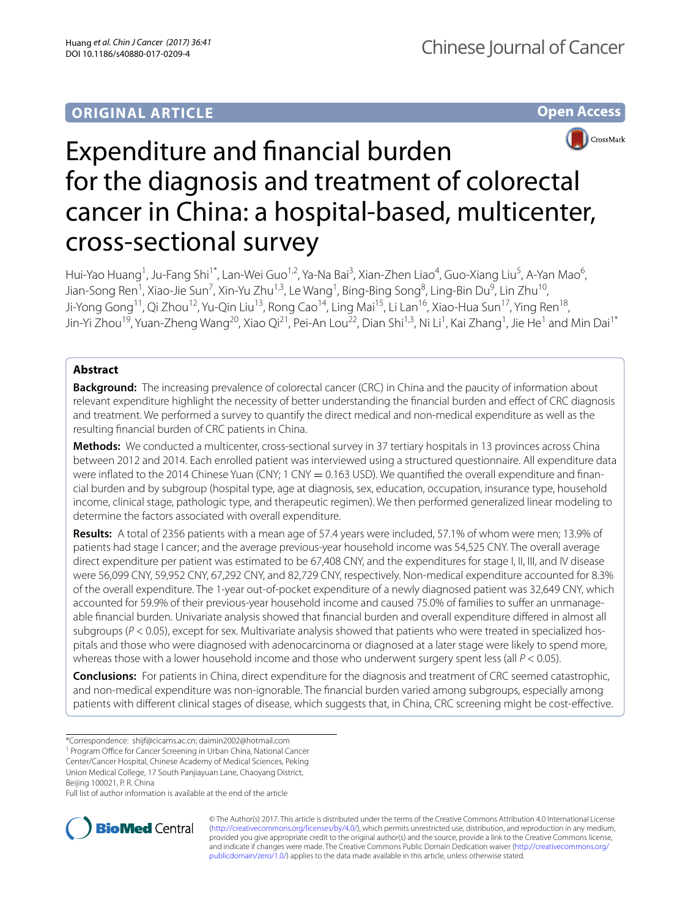# **ORIGINAL ARTICLE**

**Open Access**



# Expenditure and fnancial burden for the diagnosis and treatment of colorectal cancer in China: a hospital-based, multicenter, cross-sectional survey

Hui-Yao Huang<sup>1</sup>, Ju-Fang Shi<sup>1\*</sup>, Lan-Wei Guo<sup>1,2</sup>, Ya-Na Bai<sup>3</sup>, Xian-Zhen Liao<sup>4</sup>, Guo-Xiang Liu<sup>5</sup>, A-Yan Mao<sup>6</sup>, Jian-Song Ren<sup>1</sup>, Xiao-Jie Sun<sup>7</sup>, Xin-Yu Zhu<sup>1,3</sup>, Le Wang<sup>1</sup>, Bing-Bing Song<sup>8</sup>, Ling-Bin Du<sup>9</sup>, Lin Zhu<sup>10</sup>, Ji-Yong Gong<sup>11</sup>, Qi Zhou<sup>12</sup>, Yu-Qin Liu<sup>13</sup>, Rong Cao<sup>14</sup>, Ling Mai<sup>15</sup>, Li Lan<sup>16</sup>, Xiao-Hua Sun<sup>17</sup>, Ying Ren<sup>18</sup>, Jin-Yi Zhou<sup>19</sup>, Yuan-Zheng Wang<sup>20</sup>, Xiao Qi<sup>21</sup>, Pei-An Lou<sup>22</sup>, Dian Shi<sup>1,3</sup>, Ni Li<sup>1</sup>, Kai Zhang<sup>1</sup>, Jie He<sup>1</sup> and Min Dai<sup>1\*</sup>

# **Abstract**

**Background:** The increasing prevalence of colorectal cancer (CRC) in China and the paucity of information about relevant expenditure highlight the necessity of better understanding the fnancial burden and efect of CRC diagnosis and treatment. We performed a survey to quantify the direct medical and non-medical expenditure as well as the resulting fnancial burden of CRC patients in China.

**Methods:** We conducted a multicenter, cross-sectional survey in 37 tertiary hospitals in 13 provinces across China between 2012 and 2014. Each enrolled patient was interviewed using a structured questionnaire. All expenditure data were inflated to the 2014 Chinese Yuan (CNY; 1 CNY = 0.163 USD). We quantified the overall expenditure and financial burden and by subgroup (hospital type, age at diagnosis, sex, education, occupation, insurance type, household income, clinical stage, pathologic type, and therapeutic regimen). We then performed generalized linear modeling to determine the factors associated with overall expenditure.

**Results:** A total of 2356 patients with a mean age of 57.4 years were included, 57.1% of whom were men; 13.9% of patients had stage I cancer; and the average previous-year household income was 54,525 CNY. The overall average direct expenditure per patient was estimated to be 67,408 CNY, and the expenditures for stage I, II, III, and IV disease were 56,099 CNY, 59,952 CNY, 67,292 CNY, and 82,729 CNY, respectively. Non-medical expenditure accounted for 8.3% of the overall expenditure. The 1-year out-of-pocket expenditure of a newly diagnosed patient was 32,649 CNY, which accounted for 59.9% of their previous-year household income and caused 75.0% of families to suffer an unmanageable fnancial burden. Univariate analysis showed that fnancial burden and overall expenditure difered in almost all subgroups ( $P < 0.05$ ), except for sex. Multivariate analysis showed that patients who were treated in specialized hospitals and those who were diagnosed with adenocarcinoma or diagnosed at a later stage were likely to spend more, whereas those with a lower household income and those who underwent surgery spent less (all *P* < 0.05).

**Conclusions:** For patients in China, direct expenditure for the diagnosis and treatment of CRC seemed catastrophic, and non-medical expenditure was non-ignorable. The fnancial burden varied among subgroups, especially among patients with diferent clinical stages of disease, which suggests that, in China, CRC screening might be cost-efective.

\*Correspondence: shijf@cicams.ac.cn; daimin2002@hotmail.com

Union Medical College, 17 South Panjiayuan Lane, Chaoyang District, Beijing 100021, P. R. China

Full list of author information is available at the end of the article



© The Author(s) 2017. This article is distributed under the terms of the Creative Commons Attribution 4.0 International License [\(http://creativecommons.org/licenses/by/4.0/\)](http://creativecommons.org/licenses/by/4.0/), which permits unrestricted use, distribution, and reproduction in any medium, provided you give appropriate credit to the original author(s) and the source, provide a link to the Creative Commons license, and indicate if changes were made. The Creative Commons Public Domain Dedication waiver ([http://creativecommons.org/](http://creativecommons.org/publicdomain/zero/1.0/) [publicdomain/zero/1.0/](http://creativecommons.org/publicdomain/zero/1.0/)) applies to the data made available in this article, unless otherwise stated.

<sup>&</sup>lt;sup>1</sup> Program Office for Cancer Screening in Urban China, National Cancer

Center/Cancer Hospital, Chinese Academy of Medical Sciences, Peking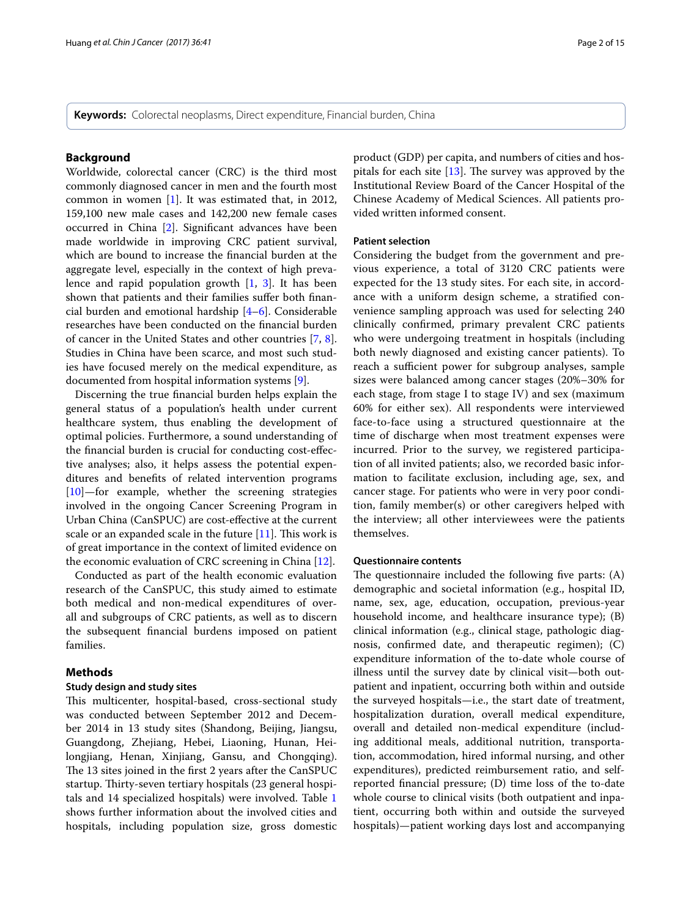**Keywords:** Colorectal neoplasms, Direct expenditure, Financial burden, China

# **Background**

Worldwide, colorectal cancer (CRC) is the third most commonly diagnosed cancer in men and the fourth most common in women [\[1](#page-14-0)]. It was estimated that, in 2012, 159,100 new male cases and 142,200 new female cases occurred in China [\[2](#page-14-1)]. Signifcant advances have been made worldwide in improving CRC patient survival, which are bound to increase the fnancial burden at the aggregate level, especially in the context of high prevalence and rapid population growth [[1,](#page-14-0) [3](#page-14-2)]. It has been shown that patients and their families suffer both financial burden and emotional hardship [\[4](#page-14-3)[–6](#page-14-4)]. Considerable researches have been conducted on the fnancial burden of cancer in the United States and other countries [\[7](#page-14-5), [8](#page-14-6)]. Studies in China have been scarce, and most such studies have focused merely on the medical expenditure, as documented from hospital information systems [[9](#page-14-7)].

Discerning the true fnancial burden helps explain the general status of a population's health under current healthcare system, thus enabling the development of optimal policies. Furthermore, a sound understanding of the fnancial burden is crucial for conducting cost-efective analyses; also, it helps assess the potential expenditures and benefts of related intervention programs [[10\]](#page-14-8)—for example, whether the screening strategies involved in the ongoing Cancer Screening Program in Urban China (CanSPUC) are cost-efective at the current scale or an expanded scale in the future  $[11]$  $[11]$ . This work is of great importance in the context of limited evidence on the economic evaluation of CRC screening in China [[12\]](#page-14-10).

Conducted as part of the health economic evaluation research of the CanSPUC, this study aimed to estimate both medical and non-medical expenditures of overall and subgroups of CRC patients, as well as to discern the subsequent fnancial burdens imposed on patient families.

## **Methods**

#### **Study design and study sites**

This multicenter, hospital-based, cross-sectional study was conducted between September 2012 and December 2014 in 13 study sites (Shandong, Beijing, Jiangsu, Guangdong, Zhejiang, Hebei, Liaoning, Hunan, Heilongjiang, Henan, Xinjiang, Gansu, and Chongqing). The 13 sites joined in the first 2 years after the CanSPUC startup. Thirty-seven tertiary hospitals (23 general hospitals and 14 specialized hospitals) were involved. Table [1](#page-2-0) shows further information about the involved cities and hospitals, including population size, gross domestic product (GDP) per capita, and numbers of cities and hospitals for each site  $[13]$  $[13]$ . The survey was approved by the Institutional Review Board of the Cancer Hospital of the Chinese Academy of Medical Sciences. All patients provided written informed consent.

#### **Patient selection**

Considering the budget from the government and previous experience, a total of 3120 CRC patients were expected for the 13 study sites. For each site, in accordance with a uniform design scheme, a stratifed convenience sampling approach was used for selecting 240 clinically confrmed, primary prevalent CRC patients who were undergoing treatment in hospitals (including both newly diagnosed and existing cancer patients). To reach a sufficient power for subgroup analyses, sample sizes were balanced among cancer stages (20%–30% for each stage, from stage I to stage IV) and sex (maximum 60% for either sex). All respondents were interviewed face-to-face using a structured questionnaire at the time of discharge when most treatment expenses were incurred. Prior to the survey, we registered participation of all invited patients; also, we recorded basic information to facilitate exclusion, including age, sex, and cancer stage. For patients who were in very poor condition, family member(s) or other caregivers helped with the interview; all other interviewees were the patients themselves.

#### **Questionnaire contents**

The questionnaire included the following five parts:  $(A)$ demographic and societal information (e.g., hospital ID, name, sex, age, education, occupation, previous-year household income, and healthcare insurance type); (B) clinical information (e.g., clinical stage, pathologic diagnosis, confrmed date, and therapeutic regimen); (C) expenditure information of the to-date whole course of illness until the survey date by clinical visit—both outpatient and inpatient, occurring both within and outside the surveyed hospitals—i.e., the start date of treatment, hospitalization duration, overall medical expenditure, overall and detailed non-medical expenditure (including additional meals, additional nutrition, transportation, accommodation, hired informal nursing, and other expenditures), predicted reimbursement ratio, and selfreported fnancial pressure; (D) time loss of the to-date whole course to clinical visits (both outpatient and inpatient, occurring both within and outside the surveyed hospitals)—patient working days lost and accompanying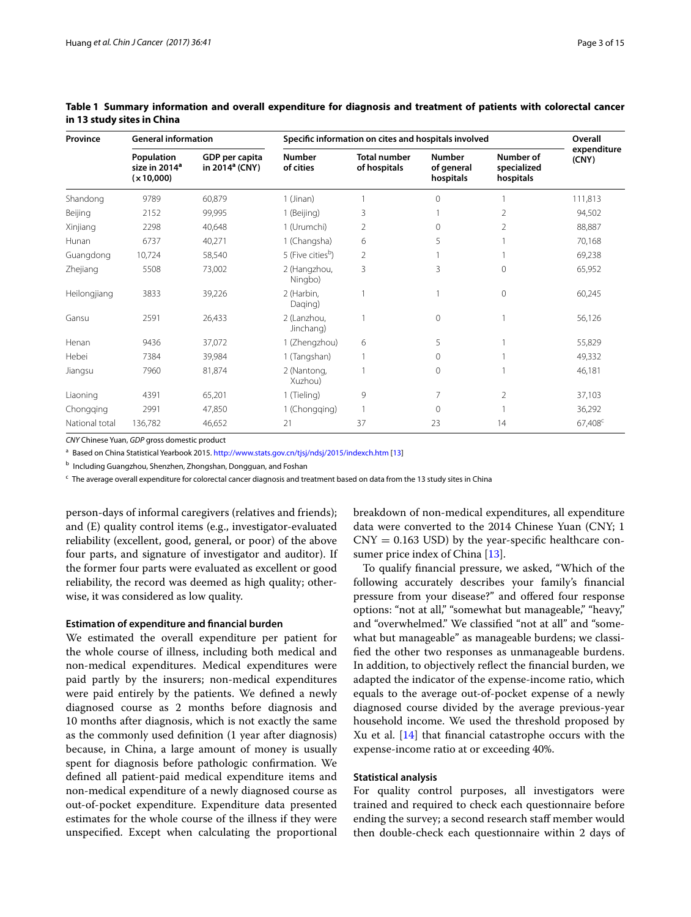| Province       | <b>General information</b>                            |                                              |                               | Specific information on cites and hospitals involved |                                          |                                       | Overall              |  |
|----------------|-------------------------------------------------------|----------------------------------------------|-------------------------------|------------------------------------------------------|------------------------------------------|---------------------------------------|----------------------|--|
|                | Population<br>size in 2014 <sup>a</sup><br>(x 10,000) | GDP per capita<br>in 2014 <sup>a</sup> (CNY) | <b>Number</b><br>of cities    | <b>Total number</b><br>of hospitals                  | <b>Number</b><br>of general<br>hospitals | Number of<br>specialized<br>hospitals | expenditure<br>(CNY) |  |
| Shandong       | 9789                                                  | 60,879                                       | $1$ (Jinan)                   |                                                      | $\Omega$                                 |                                       | 111,813              |  |
| Beijing        | 2152                                                  | 99,995                                       | 1 (Beijing)                   | 3                                                    |                                          | $\overline{2}$                        | 94,502               |  |
| Xinjiang       | 2298                                                  | 40,648                                       | 1 (Urumchi)                   | 2                                                    | $\mathbf{0}$                             | 2                                     | 88,887               |  |
| Hunan          | 6737                                                  | 40,271                                       | 1 (Changsha)                  | 6                                                    | 5                                        |                                       | 70,168               |  |
| Guangdong      | 10,724                                                | 58,540                                       | 5 (Five cities <sup>b</sup> ) | $\overline{2}$                                       |                                          |                                       | 69,238               |  |
| Zhejiang       | 5508                                                  | 73,002                                       | 2 (Hangzhou,<br>Ningbo)       | 3                                                    | 3                                        | $\mathbf{0}$                          | 65,952               |  |
| Heilongjiang   | 3833                                                  | 39,226                                       | 2 (Harbin,<br>Daging)         |                                                      |                                          | $\mathbf 0$                           | 60,245               |  |
| Gansu          | 2591                                                  | 26,433                                       | 2 (Lanzhou,<br>Jinchang)      |                                                      | $\mathbf{0}$                             |                                       | 56,126               |  |
| Henan          | 9436                                                  | 37,072                                       | 1 (Zhengzhou)                 | 6                                                    | 5                                        |                                       | 55,829               |  |
| Hebei          | 7384                                                  | 39,984                                       | 1 (Tangshan)                  |                                                      | $\mathbf{0}$                             |                                       | 49,332               |  |
| Jiangsu        | 7960                                                  | 81,874                                       | 2 (Nantong,<br>Xuzhou)        |                                                      | $\circ$                                  |                                       | 46,181               |  |
| Liaoning       | 4391                                                  | 65,201                                       | 1 (Tieling)                   | 9                                                    | 7                                        | 2                                     | 37,103               |  |
| Chongqing      | 2991                                                  | 47,850                                       | 1 (Chongqing)                 |                                                      | $\mathbf 0$                              |                                       | 36,292               |  |
| National total | 136,782                                               | 46,652                                       | 21                            | 37                                                   | 23                                       | 14                                    | 67,408 <sup>c</sup>  |  |

# <span id="page-2-0"></span>**Table 1 Summary information and overall expenditure for diagnosis and treatment of patients with colorectal cancer in 13 study sites in China**

*CNY* Chinese Yuan, *GDP* gross domestic product

<sup>a</sup> Based on China Statistical Yearbook 2015.<http://www.stats.gov.cn/tjsj/ndsj/2015/indexch.htm> [[13\]](#page-14-11)

<sup>b</sup> Including Guangzhou, Shenzhen, Zhongshan, Dongguan, and Foshan

<sup>c</sup> The average overall expenditure for colorectal cancer diagnosis and treatment based on data from the 13 study sites in China

person-days of informal caregivers (relatives and friends); and (E) quality control items (e.g., investigator-evaluated reliability (excellent, good, general, or poor) of the above four parts, and signature of investigator and auditor). If the former four parts were evaluated as excellent or good reliability, the record was deemed as high quality; otherwise, it was considered as low quality.

#### **Estimation of expenditure and fnancial burden**

We estimated the overall expenditure per patient for the whole course of illness, including both medical and non-medical expenditures. Medical expenditures were paid partly by the insurers; non-medical expenditures were paid entirely by the patients. We defned a newly diagnosed course as 2 months before diagnosis and 10 months after diagnosis, which is not exactly the same as the commonly used defnition (1 year after diagnosis) because, in China, a large amount of money is usually spent for diagnosis before pathologic confrmation. We defned all patient-paid medical expenditure items and non-medical expenditure of a newly diagnosed course as out-of-pocket expenditure. Expenditure data presented estimates for the whole course of the illness if they were unspecifed. Except when calculating the proportional breakdown of non-medical expenditures, all expenditure data were converted to the 2014 Chinese Yuan (CNY; 1  $CNY = 0.163$  USD) by the year-specific healthcare con-sumer price index of China [[13\]](#page-14-11).

To qualify fnancial pressure, we asked, "Which of the following accurately describes your family's fnancial pressure from your disease?" and ofered four response options: "not at all," "somewhat but manageable," "heavy," and "overwhelmed." We classifed "not at all" and "somewhat but manageable" as manageable burdens; we classifed the other two responses as unmanageable burdens. In addition, to objectively refect the fnancial burden, we adapted the indicator of the expense-income ratio, which equals to the average out-of-pocket expense of a newly diagnosed course divided by the average previous-year household income. We used the threshold proposed by Xu et al.  $[14]$  $[14]$  that financial catastrophe occurs with the expense-income ratio at or exceeding 40%.

## **Statistical analysis**

For quality control purposes, all investigators were trained and required to check each questionnaire before ending the survey; a second research staf member would then double-check each questionnaire within 2 days of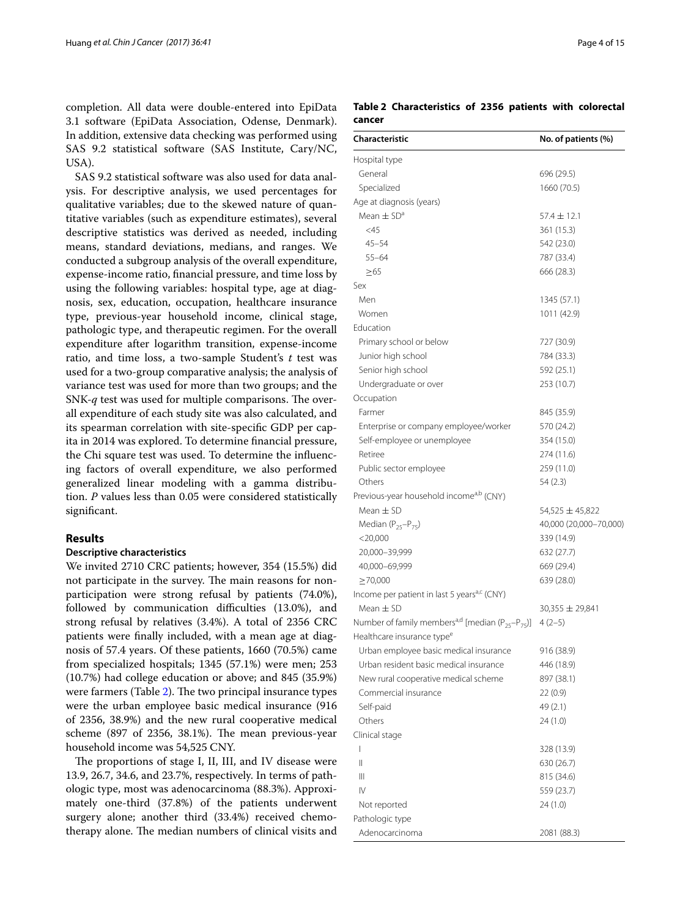completion. All data were double-entered into EpiData 3.1 software (EpiData Association, Odense, Denmark). In addition, extensive data checking was performed using SAS 9.2 statistical software (SAS Institute, Cary/NC, USA).

SAS 9.2 statistical software was also used for data analysis. For descriptive analysis, we used percentages for qualitative variables; due to the skewed nature of quantitative variables (such as expenditure estimates), several descriptive statistics was derived as needed, including means, standard deviations, medians, and ranges. We conducted a subgroup analysis of the overall expenditure, expense-income ratio, fnancial pressure, and time loss by using the following variables: hospital type, age at diagnosis, sex, education, occupation, healthcare insurance type, previous-year household income, clinical stage, pathologic type, and therapeutic regimen. For the overall expenditure after logarithm transition, expense-income ratio, and time loss, a two-sample Student's *t* test was used for a two-group comparative analysis; the analysis of variance test was used for more than two groups; and the SNK-*q* test was used for multiple comparisons. The overall expenditure of each study site was also calculated, and its spearman correlation with site-specifc GDP per capita in 2014 was explored. To determine fnancial pressure, the Chi square test was used. To determine the infuencing factors of overall expenditure, we also performed generalized linear modeling with a gamma distribution. *P* values less than 0.05 were considered statistically signifcant.

## **Results**

#### **Descriptive characteristics**

We invited 2710 CRC patients; however, 354 (15.5%) did not participate in the survey. The main reasons for nonparticipation were strong refusal by patients (74.0%), followed by communication difficulties (13.0%), and strong refusal by relatives (3.4%). A total of 2356 CRC patients were fnally included, with a mean age at diagnosis of 57.4 years. Of these patients, 1660 (70.5%) came from specialized hospitals; 1345 (57.1%) were men; 253 (10.7%) had college education or above; and 845 (35.9%) were farmers (Table  $2$ ). The two principal insurance types were the urban employee basic medical insurance (916 of 2356, 38.9%) and the new rural cooperative medical scheme (897 of 2356, 38.1%). The mean previous-year household income was 54,525 CNY.

The proportions of stage I, II, III, and IV disease were 13.9, 26.7, 34.6, and 23.7%, respectively. In terms of pathologic type, most was adenocarcinoma (88.3%). Approximately one-third (37.8%) of the patients underwent surgery alone; another third (33.4%) received chemotherapy alone. The median numbers of clinical visits and

<span id="page-3-0"></span>**Table 2 Characteristics of 2356 patients with colorectal cancer**

| Characteristic                                                           | No. of patients (%)    |
|--------------------------------------------------------------------------|------------------------|
| Hospital type                                                            |                        |
| General                                                                  | 696 (29.5)             |
| Specialized                                                              | 1660 (70.5)            |
| Age at diagnosis (years)                                                 |                        |
| Mean $\pm$ SD <sup>a</sup>                                               | $57.4 \pm 12.1$        |
| $<$ 45                                                                   | 361 (15.3)             |
| $45 - 54$                                                                | 542 (23.0)             |
| $55 - 64$                                                                | 787 (33.4)             |
| $\geq 65$                                                                | 666 (28.3)             |
| Sex                                                                      |                        |
| Men                                                                      | 1345 (57.1)            |
| Women                                                                    | 1011 (42.9)            |
| Education                                                                |                        |
| Primary school or below                                                  | 727 (30.9)             |
| Junior high school                                                       | 784 (33.3)             |
| Senior high school                                                       | 592 (25.1)             |
| Undergraduate or over                                                    | 253 (10.7)             |
| Occupation                                                               |                        |
| Farmer                                                                   | 845 (35.9)             |
| Enterprise or company employee/worker                                    | 570 (24.2)             |
| Self-employee or unemployee                                              | 354 (15.0)             |
| Retiree                                                                  | 274 (11.6)             |
| Public sector employee                                                   | 259 (11.0)             |
| Others                                                                   | 54(2.3)                |
| Previous-year household income <sup>a,b</sup> (CNY)                      |                        |
| Mean $\pm$ SD                                                            | 54,525 ± 45,822        |
| Median ( $P_{25}$ - $P_{75}$ )                                           | 40,000 (20,000-70,000) |
| $<$ 20,000                                                               | 339 (14.9)             |
| 20,000-39,999                                                            | 632 (27.7)             |
| 40,000-69,999                                                            | 669 (29.4)             |
| >70,000                                                                  | 639 (28.0)             |
| Income per patient in last 5 years <sup>a,c</sup> (CNY)                  |                        |
| Mean $\pm$ SD                                                            | $30,355 \pm 29,841$    |
| Number of family members <sup>a,d</sup> [median ( $P_{25}$ – $P_{75}$ )] | $4(2-5)$               |
| Healthcare insurance type <sup>e</sup>                                   |                        |
| Urban employee basic medical insurance                                   | 916 (38.9)             |
| Urban resident basic medical insurance                                   | 446 (18.9)             |
| New rural cooperative medical scheme                                     | 897 (38.1)             |
| Commercial insurance                                                     | 22(0.9)                |
| Self-paid                                                                | 49 (2.1)               |
| Others                                                                   | 24 (1.0)               |
| Clinical stage                                                           |                        |
| L                                                                        | 328 (13.9)             |
| Ш                                                                        | 630 (26.7)             |
| Ш                                                                        | 815 (34.6)             |
| IV                                                                       | 559 (23.7)             |
| Not reported                                                             | 24 (1.0)               |
| Pathologic type                                                          |                        |
| Adenocarcinoma                                                           | 2081 (88.3)            |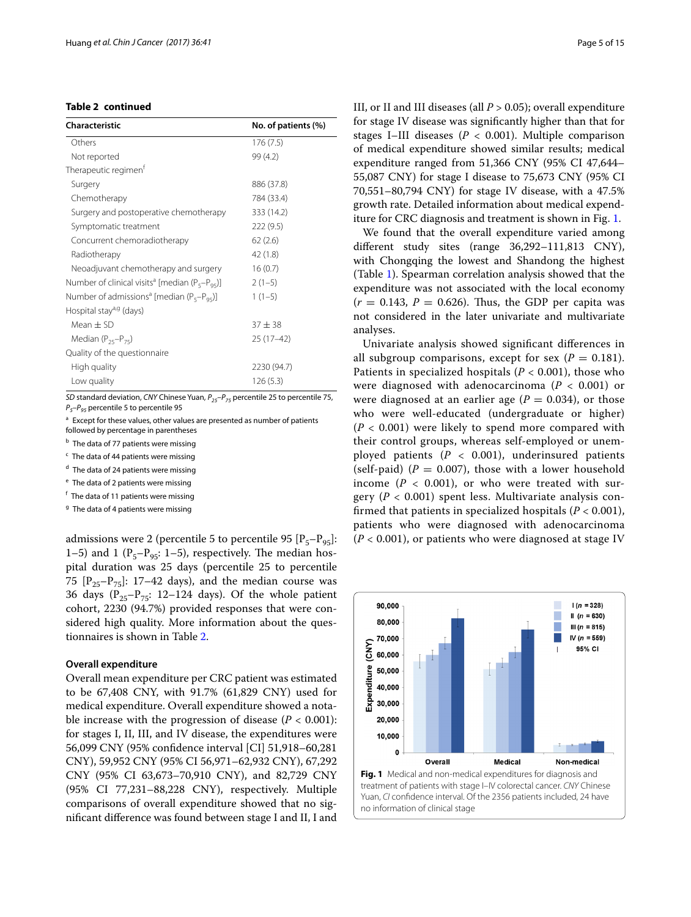# **Table 2 continued**

| <b>Characteristic</b>                                            | No. of patients (%) |
|------------------------------------------------------------------|---------------------|
| Others                                                           | 176(7.5)            |
| Not reported                                                     | 99 (4.2)            |
| Therapeutic regimen <sup>f</sup>                                 |                     |
| Surgery                                                          | 886 (37.8)          |
| Chemotherapy                                                     | 784 (33.4)          |
| Surgery and postoperative chemotherapy                           | 333 (14.2)          |
| Symptomatic treatment                                            | 222 (9.5)           |
| Concurrent chemoradiotherapy                                     | 62(2.6)             |
| Radiotherapy                                                     | 42 (1.8)            |
| Neoadjuvant chemotherapy and surgery                             | 16(0.7)             |
| Number of clinical visits <sup>a</sup> [median ( $P_5-P_{05}$ )] | $2(1-5)$            |
| Number of admissions <sup>a</sup> [median ( $P_5-P_{95}$ )]      | $1(1-5)$            |
| Hospital stay <sup>a,g</sup> (days)                              |                     |
| Mean $\pm$ SD                                                    | $37 + 38$           |
| Median $(P_{25}-P_{75})$                                         | $25(17-42)$         |
| Quality of the questionnaire                                     |                     |
| High quality                                                     | 2230 (94.7)         |
| Low quality                                                      | 126(5.3)            |

*SD* standard deviation, *CNY* Chinese Yuan,  $P_{25}-P_{75}$  percentile 25 to percentile 75, *P<sub>5</sub>–P<sub>95</sub>* percentile 5 to percentile 95

<sup>a</sup> Except for these values, other values are presented as number of patients followed by percentage in parentheses

**b** The data of 77 patients were missing

 $c$  The data of 44 patients were missing

<sup>d</sup> The data of 24 patients were missing

<sup>e</sup> The data of 2 patients were missing

<sup>f</sup> The data of 11 patients were missing

 $9$  The data of 4 patients were missing

admissions were 2 (percentile 5 to percentile 95  $[P_5-P_{95}]$ : 1–5) and 1 ( $P_5-P_{95}$ : 1–5), respectively. The median hospital duration was 25 days (percentile 25 to percentile 75  $[P_{25}-P_{75}]$ : 17–42 days), and the median course was 36 days ( $P_{25}-P_{75}$ : 12–124 days). Of the whole patient cohort, 2230 (94.7%) provided responses that were considered high quality. More information about the questionnaires is shown in Table [2.](#page-3-0)

#### **Overall expenditure**

Overall mean expenditure per CRC patient was estimated to be 67,408 CNY, with 91.7% (61,829 CNY) used for medical expenditure. Overall expenditure showed a notable increase with the progression of disease  $(P < 0.001)$ : for stages I, II, III, and IV disease, the expenditures were 56,099 CNY (95% confdence interval [CI] 51,918–60,281 CNY), 59,952 CNY (95% CI 56,971–62,932 CNY), 67,292 CNY (95% CI 63,673–70,910 CNY), and 82,729 CNY (95% CI 77,231–88,228 CNY), respectively. Multiple comparisons of overall expenditure showed that no signifcant diference was found between stage I and II, I and III, or II and III diseases (all *P* > 0.05); overall expenditure for stage IV disease was signifcantly higher than that for stages I–III diseases ( $P < 0.001$ ). Multiple comparison of medical expenditure showed similar results; medical expenditure ranged from 51,366 CNY (95% CI 47,644– 55,087 CNY) for stage I disease to 75,673 CNY (95% CI 70,551–80,794 CNY) for stage IV disease, with a 47.5% growth rate. Detailed information about medical expenditure for CRC diagnosis and treatment is shown in Fig. [1](#page-4-0).

We found that the overall expenditure varied among diferent study sites (range 36,292–111,813 CNY), with Chongqing the lowest and Shandong the highest (Table [1](#page-2-0)). Spearman correlation analysis showed that the expenditure was not associated with the local economy  $(r = 0.143, P = 0.626)$ . Thus, the GDP per capita was not considered in the later univariate and multivariate analyses.

Univariate analysis showed signifcant diferences in all subgroup comparisons, except for sex  $(P = 0.181)$ . Patients in specialized hospitals (*P* < 0.001), those who were diagnosed with adenocarcinoma ( $P < 0.001$ ) or were diagnosed at an earlier age  $(P = 0.034)$ , or those who were well-educated (undergraduate or higher)  $(P < 0.001)$  were likely to spend more compared with their control groups, whereas self-employed or unemployed patients  $(P < 0.001)$ , underinsured patients (self-paid)  $(P = 0.007)$ , those with a lower household income  $(P < 0.001)$ , or who were treated with surgery  $(P < 0.001)$  spent less. Multivariate analysis confrmed that patients in specialized hospitals (*P* < 0.001), patients who were diagnosed with adenocarcinoma (*P* < 0.001), or patients who were diagnosed at stage IV

<span id="page-4-0"></span>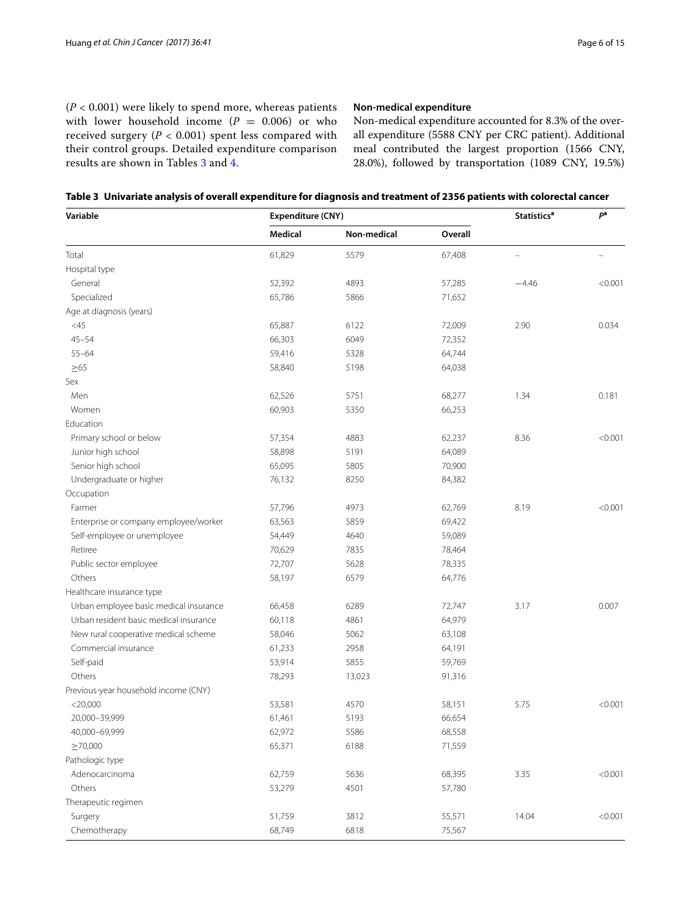(*P* < 0.001) were likely to spend more, whereas patients with lower household income  $(P = 0.006)$  or who received surgery  $(P < 0.001)$  spent less compared with their control groups. Detailed expenditure comparison results are shown in Tables [3](#page-5-0) and [4.](#page-7-0)

# **Non‑medical expenditure**

Non-medical expenditure accounted for 8.3% of the overall expenditure (5588 CNY per CRC patient). Additional meal contributed the largest proportion (1566 CNY, 28.0%), followed by transportation (1089 CNY, 19.5%)

<span id="page-5-0"></span>

| Variable                               | Expenditure (CNY) |             |         | <b>Statistics<sup>a</sup></b> | pa                       |
|----------------------------------------|-------------------|-------------|---------|-------------------------------|--------------------------|
|                                        | Medical           | Non-medical | Overall |                               |                          |
| Total                                  | 61,829            | 5579        | 67,408  | $\equiv$                      | $\overline{\phantom{0}}$ |
| Hospital type                          |                   |             |         |                               |                          |
| General                                | 52,392            | 4893        | 57,285  | $-4.46$                       | < 0.001                  |
| Specialized                            | 65,786            | 5866        | 71,652  |                               |                          |
| Age at diagnosis (years)               |                   |             |         |                               |                          |
| $<$ 45                                 | 65,887            | 6122        | 72,009  | 2.90                          | 0.034                    |
| $45 - 54$                              | 66,303            | 6049        | 72,352  |                               |                          |
| $55 - 64$                              | 59,416            | 5328        | 64,744  |                               |                          |
| $\geq 65$                              | 58,840            | 5198        | 64,038  |                               |                          |
| Sex                                    |                   |             |         |                               |                          |
| Men                                    | 62,526            | 5751        | 68,277  | 1.34                          | 0.181                    |
| Women                                  | 60,903            | 5350        | 66,253  |                               |                          |
| Education                              |                   |             |         |                               |                          |
| Primary school or below                | 57,354            | 4883        | 62,237  | 8.36                          | < 0.001                  |
| Junior high school                     | 58,898            | 5191        | 64,089  |                               |                          |
| Senior high school                     | 65,095            | 5805        | 70,900  |                               |                          |
| Undergraduate or higher                | 76,132            | 8250        | 84,382  |                               |                          |
| Occupation                             |                   |             |         |                               |                          |
| Farmer                                 | 57,796            | 4973        | 62,769  | 8.19                          | < 0.001                  |
| Enterprise or company employee/worker  | 63,563            | 5859        | 69,422  |                               |                          |
| Self-employee or unemployee            | 54,449            | 4640        | 59,089  |                               |                          |
| Retiree                                | 70,629            | 7835        | 78,464  |                               |                          |
| Public sector employee                 | 72,707            | 5628        | 78,335  |                               |                          |
| Others                                 | 58,197            | 6579        | 64,776  |                               |                          |
| Healthcare insurance type              |                   |             |         |                               |                          |
| Urban employee basic medical insurance | 66,458            | 6289        | 72,747  | 3.17                          | 0.007                    |
| Urban resident basic medical insurance | 60,118            | 4861        | 64,979  |                               |                          |
| New rural cooperative medical scheme   | 58,046            | 5062        | 63,108  |                               |                          |
| Commercial insurance                   | 61,233            | 2958        | 64,191  |                               |                          |
| Self-paid                              | 53,914            | 5855        | 59,769  |                               |                          |
| Others                                 | 78,293            | 13,023      | 91,316  |                               |                          |
| Previous-year household income (CNY)   |                   |             |         |                               |                          |
| $<$ 20,000                             | 53,581            | 4570        | 58,151  | 5.75                          | < 0.001                  |
| 20,000-39,999                          | 61,461            | 5193        | 66,654  |                               |                          |
| 40,000-69,999                          | 62,972            | 5586        | 68,558  |                               |                          |
| $\geq 70,000$                          | 65,371            | 6188        | 71,559  |                               |                          |
| Pathologic type                        |                   |             |         |                               |                          |
| Adenocarcinoma                         | 62,759            | 5636        | 68,395  | 3.35                          | < 0.001                  |
| Others                                 | 53,279            | 4501        | 57,780  |                               |                          |
| Therapeutic regimen                    |                   |             |         |                               |                          |
| Surgery                                | 51,759            | 3812        | 55,571  | 14.04                         | < 0.001                  |
| Chemotherapy                           | 68,749            | 6818        | 75,567  |                               |                          |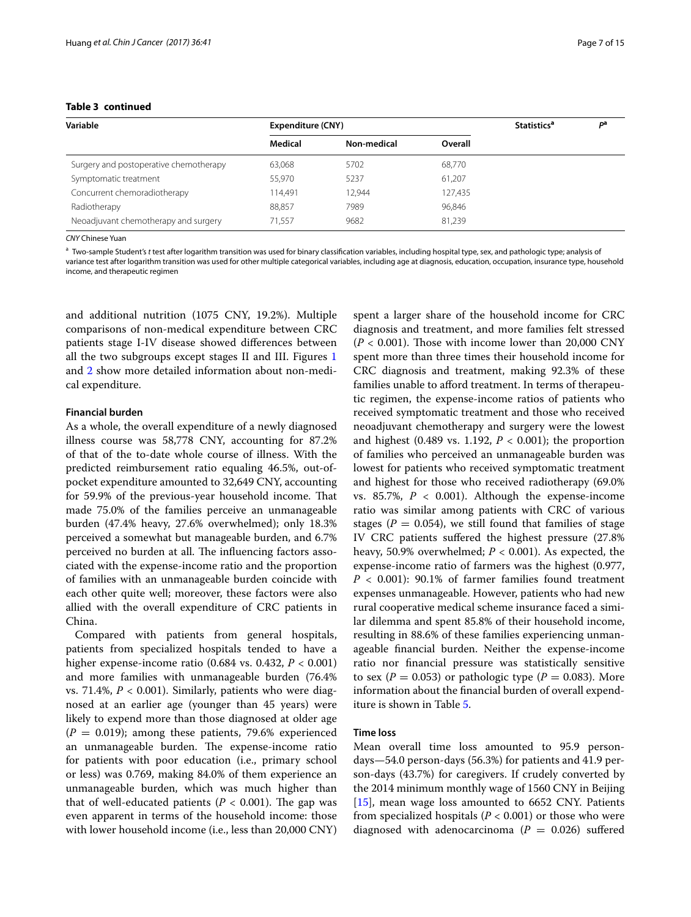# **Table 3 continued**

| Variable                               | Expenditure (CNY) |             |         | <b>Statistics<sup>a</sup></b> | рa |
|----------------------------------------|-------------------|-------------|---------|-------------------------------|----|
|                                        | Medical           | Non-medical | Overall |                               |    |
| Surgery and postoperative chemotherapy | 63,068            | 5702        | 68,770  |                               |    |
| Symptomatic treatment                  | 55,970            | 5237        | 61,207  |                               |    |
| Concurrent chemoradiotherapy           | 114,491           | 12,944      | 127,435 |                               |    |
| Radiotherapy                           | 88,857            | 7989        | 96,846  |                               |    |
| Neoadjuvant chemotherapy and surgery   | 71.557            | 9682        | 81,239  |                               |    |

*CNY* Chinese Yuan

<sup>a</sup> Two-sample Student's *t* test after logarithm transition was used for binary classifcation variables, including hospital type, sex, and pathologic type; analysis of variance test after logarithm transition was used for other multiple categorical variables, including age at diagnosis, education, occupation, insurance type, household income, and therapeutic regimen

and additional nutrition (1075 CNY, 19.2%). Multiple comparisons of non-medical expenditure between CRC patients stage I-IV disease showed diferences between all the two subgroups except stages II and III. Figures [1](#page-4-0) and [2](#page-7-1) show more detailed information about non-medical expenditure.

#### **Financial burden**

As a whole, the overall expenditure of a newly diagnosed illness course was 58,778 CNY, accounting for 87.2% of that of the to-date whole course of illness. With the predicted reimbursement ratio equaling 46.5%, out-ofpocket expenditure amounted to 32,649 CNY, accounting for 59.9% of the previous-year household income. That made 75.0% of the families perceive an unmanageable burden (47.4% heavy, 27.6% overwhelmed); only 18.3% perceived a somewhat but manageable burden, and 6.7% perceived no burden at all. The influencing factors associated with the expense-income ratio and the proportion of families with an unmanageable burden coincide with each other quite well; moreover, these factors were also allied with the overall expenditure of CRC patients in China.

Compared with patients from general hospitals, patients from specialized hospitals tended to have a higher expense-income ratio (0.684 vs. 0.432, *P* < 0.001) and more families with unmanageable burden (76.4% vs. 71.4%,  $P < 0.001$ ). Similarly, patients who were diagnosed at an earlier age (younger than 45 years) were likely to expend more than those diagnosed at older age  $(P = 0.019)$ ; among these patients, 79.6% experienced an unmanageable burden. The expense-income ratio for patients with poor education (i.e., primary school or less) was 0.769, making 84.0% of them experience an unmanageable burden, which was much higher than that of well-educated patients ( $P < 0.001$ ). The gap was even apparent in terms of the household income: those with lower household income (i.e., less than 20,000 CNY)

spent a larger share of the household income for CRC diagnosis and treatment, and more families felt stressed  $(P < 0.001)$ . Those with income lower than 20,000 CNY spent more than three times their household income for CRC diagnosis and treatment, making 92.3% of these families unable to afford treatment. In terms of therapeutic regimen, the expense-income ratios of patients who received symptomatic treatment and those who received neoadjuvant chemotherapy and surgery were the lowest and highest  $(0.489 \text{ vs. } 1.192, P < 0.001)$ ; the proportion of families who perceived an unmanageable burden was lowest for patients who received symptomatic treatment and highest for those who received radiotherapy (69.0% vs. 85.7%,  $P < 0.001$ ). Although the expense-income ratio was similar among patients with CRC of various stages ( $P = 0.054$ ), we still found that families of stage IV CRC patients sufered the highest pressure (27.8% heavy, 50.9% overwhelmed; *P* < 0.001). As expected, the expense-income ratio of farmers was the highest (0.977, *P* < 0.001): 90.1% of farmer families found treatment expenses unmanageable. However, patients who had new rural cooperative medical scheme insurance faced a similar dilemma and spent 85.8% of their household income, resulting in 88.6% of these families experiencing unmanageable fnancial burden. Neither the expense-income ratio nor fnancial pressure was statistically sensitive to sex ( $P = 0.053$ ) or pathologic type ( $P = 0.083$ ). More information about the fnancial burden of overall expenditure is shown in Table [5.](#page-8-0)

#### **Time loss**

Mean overall time loss amounted to 95.9 persondays—54.0 person-days (56.3%) for patients and 41.9 person-days (43.7%) for caregivers. If crudely converted by the 2014 minimum monthly wage of 1560 CNY in Beijing [[15\]](#page-14-13), mean wage loss amounted to 6652 CNY. Patients from specialized hospitals ( $P < 0.001$ ) or those who were diagnosed with adenocarcinoma ( $P = 0.026$ ) suffered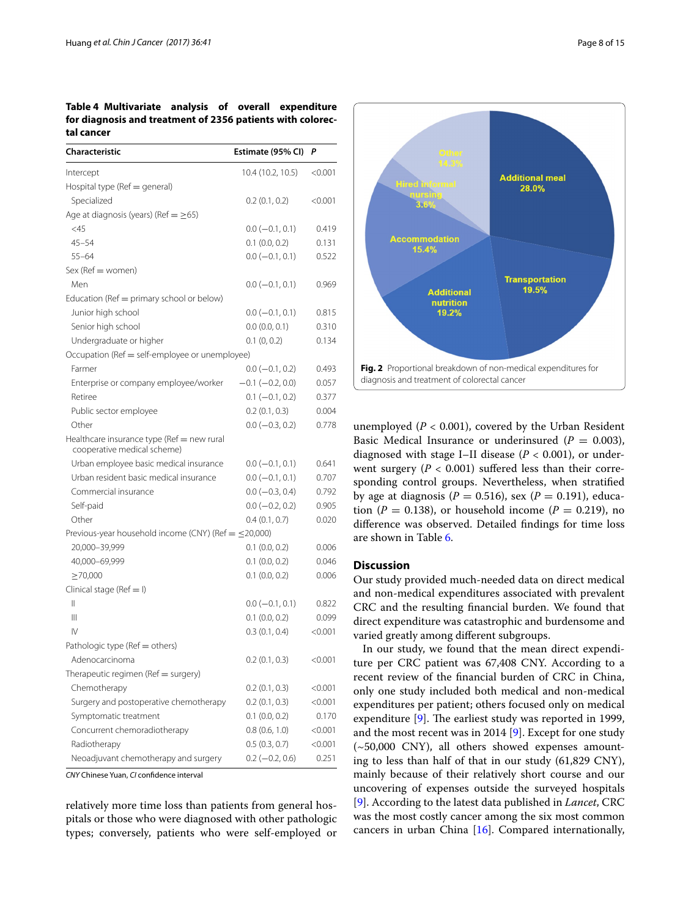# <span id="page-7-0"></span>**Table 4 Multivariate analysis of overall expenditure for diagnosis and treatment of 2356 patients with colorectal cancer**

| Characteristic                                                            | Estimate (95% CI)    | P       |
|---------------------------------------------------------------------------|----------------------|---------|
| Intercept                                                                 | 10.4 (10.2, 10.5)    | < 0.001 |
| Hospital type ( $Ref = general$ )                                         |                      |         |
| Specialized                                                               | 0.2(0.1, 0.2)        | < 0.001 |
| Age at diagnosis (years) (Ref = $\geq$ 65)                                |                      |         |
| <45                                                                       | $0.0 (-0.1, 0.1)$    | 0.419   |
| $45 - 54$                                                                 | $0.1$ $(0.0, 0.2)$   | 0.131   |
| $55 - 64$                                                                 | $0.0 (-0.1, 0.1)$    | 0.522   |
| Sex (Ref = women)                                                         |                      |         |
| Men                                                                       | $0.0 (-0.1, 0.1)$    | 0.969   |
| Education ( $Ref = primary school$ or below)                              |                      |         |
| Junior high school                                                        | $0.0 (-0.1, 0.1)$    | 0.815   |
| Senior high school                                                        | 0.0(0.0, 0.1)        | 0.310   |
| Undergraduate or higher                                                   | 0.1(0, 0.2)          | 0.134   |
| Occupation (Ref = self-employee or unemployee)                            |                      |         |
| Farmer                                                                    | $0.0 (-0.1, 0.2)$    | 0.493   |
| Enterprise or company employee/worker                                     | $-0.1$ $(-0.2, 0.0)$ | 0.057   |
| Retiree                                                                   | $0.1 (-0.1, 0.2)$    | 0.377   |
| Public sector employee                                                    | $0.2$ (0.1, 0.3)     | 0.004   |
| Other                                                                     | $0.0 (-0.3, 0.2)$    | 0.778   |
| Healthcare insurance type (Ref = new rural<br>cooperative medical scheme) |                      |         |
| Urban employee basic medical insurance                                    | $0.0 (-0.1, 0.1)$    | 0.641   |
| Urban resident basic medical insurance                                    | $0.0 (-0.1, 0.1)$    | 0.707   |
| Commercial insurance                                                      | $0.0 (-0.3, 0.4)$    | 0.792   |
| Self-paid                                                                 | $0.0 (-0.2, 0.2)$    | 0.905   |
| Other                                                                     | 0.4(0.1, 0.7)        | 0.020   |
| Previous-year household income (CNY) (Ref $=$ $\leq$ 20,000)              |                      |         |
| 20,000-39,999                                                             | $0.1$ $(0.0, 0.2)$   | 0.006   |
| 40,000-69,999                                                             | $0.1$ $(0.0, 0.2)$   | 0.046   |
| $\geq$ 70,000                                                             | $0.1$ $(0.0, 0.2)$   | 0.006   |
| Clinical stage ( $Ref = I$ )                                              |                      |         |
| Ш                                                                         | $0.0 (-0.1, 0.1)$    | 0.822   |
| Ш                                                                         | $0.1$ $(0.0, 0.2)$   | 0.099   |
| IV                                                                        | 0.3(0.1, 0.4)        | < 0.001 |
| Pathologic type (Ref = others)                                            |                      |         |
| Adenocarcinoma                                                            | 0.2(0.1, 0.3)        | < 0.001 |
| Therapeutic regimen (Ref = surgery)                                       |                      |         |
| Chemotherapy                                                              | $0.2$ $(0.1, 0.3)$   | < 0.001 |
| Surgery and postoperative chemotherapy                                    | 0.2(0.1, 0.3)        | < 0.001 |
| Symptomatic treatment                                                     | $0.1$ (0.0, 0.2)     | 0.170   |
| Concurrent chemoradiotherapy                                              | 0.8(0.6, 1.0)        | < 0.001 |
| Radiotherapy                                                              | 0.5(0.3, 0.7)        | < 0.001 |
| Neoadjuvant chemotherapy and surgery                                      | $0.2 (-0.2, 0.6)$    | 0.251   |

*CNY* Chinese Yuan, *CI* confdence interval

relatively more time loss than patients from general hospitals or those who were diagnosed with other pathologic types; conversely, patients who were self-employed or



<span id="page-7-1"></span>unemployed  $(P < 0.001)$ , covered by the Urban Resident Basic Medical Insurance or underinsured  $(P = 0.003)$ , diagnosed with stage I–II disease (*P* < 0.001), or underwent surgery  $(P < 0.001)$  suffered less than their corresponding control groups. Nevertheless, when stratifed by age at diagnosis ( $P = 0.516$ ), sex ( $P = 0.191$ ), education ( $P = 0.138$ ), or household income ( $P = 0.219$ ), no diference was observed. Detailed fndings for time loss are shown in Table [6.](#page-11-0)

#### **Discussion**

Our study provided much-needed data on direct medical and non-medical expenditures associated with prevalent CRC and the resulting fnancial burden. We found that direct expenditure was catastrophic and burdensome and varied greatly among diferent subgroups.

In our study, we found that the mean direct expenditure per CRC patient was 67,408 CNY. According to a recent review of the fnancial burden of CRC in China, only one study included both medical and non-medical expenditures per patient; others focused only on medical expenditure  $[9]$  $[9]$ . The earliest study was reported in 1999, and the most recent was in 2014  $[9]$  $[9]$ . Except for one study  $(-50,000 \, \text{CNY})$ , all others showed expenses amounting to less than half of that in our study (61,829 CNY), mainly because of their relatively short course and our uncovering of expenses outside the surveyed hospitals [[9\]](#page-14-7). According to the latest data published in *Lancet*, CRC was the most costly cancer among the six most common cancers in urban China [[16\]](#page-14-14). Compared internationally,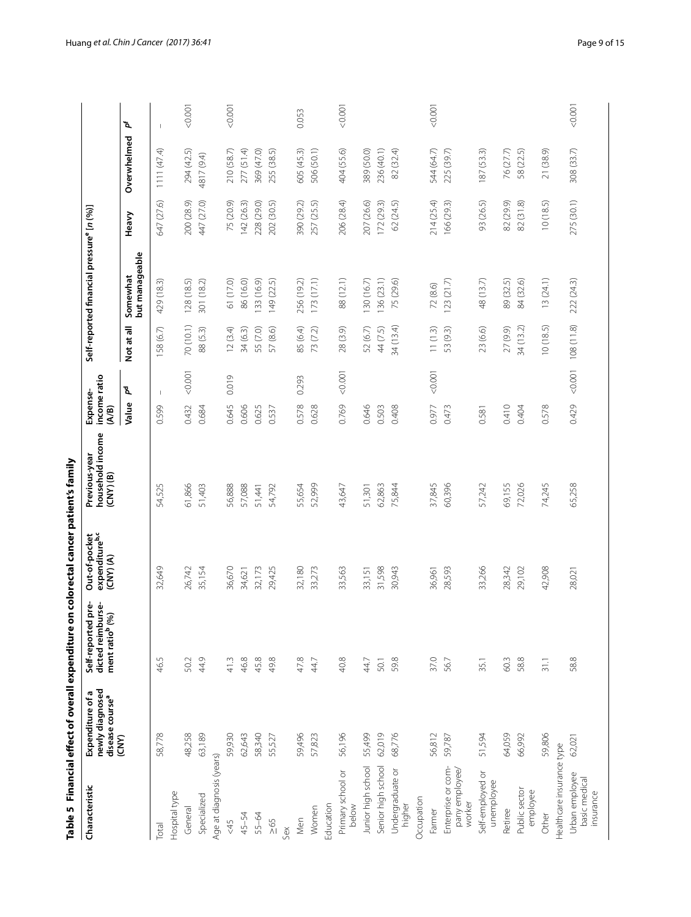<span id="page-8-0"></span>

|                                                |                                                                              | Table 5 Financial effect of overall expenditure on colorectal cancer patient's family |                                                              |                                                    |                                   |            |                                                       |            |             |                          |
|------------------------------------------------|------------------------------------------------------------------------------|---------------------------------------------------------------------------------------|--------------------------------------------------------------|----------------------------------------------------|-----------------------------------|------------|-------------------------------------------------------|------------|-------------|--------------------------|
| Characteristic                                 | newly diagnosed<br><b>G</b><br>disease course <sup>a</sup><br>Expenditure of | pre-<br>dicted reimburse-<br>ment ratio <sup>b</sup> (%)<br>Self-reported             | Out-of-pocket<br>expenditure <sup>b,c</sup><br>$(CNY)$ $(A)$ | Previous-year<br>household income<br>$(CNY)$ $(B)$ | income ratio<br>Expense-<br>(A/B) |            | Self-reported financial pressure <sup>e</sup> [n (%)] |            |             |                          |
|                                                | (CNY)                                                                        |                                                                                       |                                                              |                                                    | ፝፟፟፟<br>Value                     | Not at all | but manageable<br>Somewhat                            | Heavy      | Overwhelmed | ዃ                        |
| <b>Total</b>                                   | 58,778                                                                       | 46.5                                                                                  | 32,649                                                       | 54,525                                             | $\mathbf{I}$<br>0.599             | 158 (6.7)  | 429 (18.3)                                            | 647 (27.6) | 1111 (47.4) | $\overline{\phantom{a}}$ |
| Hospital type                                  |                                                                              |                                                                                       |                                                              |                                                    |                                   |            |                                                       |            |             |                          |
| General                                        | 48,258                                                                       | 50.2                                                                                  | 26,742                                                       | 61,866                                             | 10000<br>0.432                    | 70 (10.1)  | 128 (18.5)                                            | 200 (28.9) | 294 (42.5)  | < 0.001                  |
| Specialized                                    | 63,189                                                                       | 44.9                                                                                  | 35,154                                                       | 51,403                                             | 0.684                             | 88 (5.3)   | 301 (18.2)                                            | 447 (27.0) | 4817 (9.4)  |                          |
| Age at diagnosis (years)                       |                                                                              |                                                                                       |                                                              |                                                    |                                   |            |                                                       |            |             |                          |
| 545                                            | 59,930                                                                       | 41.3                                                                                  | 36,670                                                       | 56,888                                             | 0.019<br>0.645                    | 12(3.4)    | 61 (17.0)                                             | 75 (20.9)  | 210 (58.7)  | 1001                     |
| 45-54                                          | 62,643                                                                       | 46.8                                                                                  | 34,621                                                       | 57,088                                             | 0.606                             | 34 (6.3)   | 86 (16.0)                                             | 142 (26.3) | 277 (51.4)  |                          |
| 55-64                                          | 58,340                                                                       | 45.8                                                                                  | 32,173                                                       | 51,441                                             | 0.625                             | 55 (7.0)   | 33 (16.9)                                             | 228 (29.0) | 369 (47.0)  |                          |
| $\geq 65$                                      | 55,527                                                                       | 49.8                                                                                  | 29,425                                                       | 54,792                                             | 0.537                             | 57(8.6)    | 149 (22.5)                                            | 202 (30.5) | 255 (38.5)  |                          |
| Sex                                            |                                                                              |                                                                                       |                                                              |                                                    |                                   |            |                                                       |            |             |                          |
| Men                                            | 59,496                                                                       | 47.8                                                                                  | 32,180                                                       | 55,654                                             | 0.293<br>0.578                    | 85 (6.4)   | 256 (19.2)                                            | 390 (29.2) | 605 (45.3)  | 0.053                    |
| Women                                          | 57,823                                                                       | 44.7                                                                                  | 33,273                                                       | 52,999                                             | 0.628                             | 73 (7.2)   | 173(17.1)                                             | 257 (25.5) | 506 (50.1)  |                          |
| Education                                      |                                                                              |                                                                                       |                                                              |                                                    |                                   |            |                                                       |            |             |                          |
| Primary school or<br>below                     | 56,196                                                                       | 40.8                                                                                  | 33,563                                                       | 43,647                                             | 00000<br>0.769                    | 28 (3.9)   | 88 (12.1)                                             | 206 (28.4) | 404 (55.6)  | < 0.001                  |
| Junior high school                             | 55,499                                                                       | 44.7                                                                                  | 33,151                                                       | 51,301                                             | 0.646                             | 52 (6.7)   | 130(16.7)                                             | 207 (26.6) | 389 (50.0)  |                          |
| Senior high school                             | 62,019                                                                       | 50.1                                                                                  | 31,598                                                       | 62,863                                             | 0.503                             | 44 (7.5)   | 136(23.1)                                             | 172 (29.3) | 236 (40.1)  |                          |
| Undergraduate or<br>higher                     | 68,776                                                                       | 59.8                                                                                  | 30,943                                                       | 75,844                                             | 0.408                             | 34 (13.4)  | 75 (29.6)                                             | 62 (24.5)  | 82 (32.4)   |                          |
| Occupation                                     |                                                                              |                                                                                       |                                                              |                                                    |                                   |            |                                                       |            |             |                          |
| Farmer                                         | 56,812                                                                       | 37.0                                                                                  | 36,961                                                       | 37,845                                             | 1001<br>0.977                     | 11(1.3)    | 72 (8.6)                                              | 214 (25.4) | 544 (64.7)  | &0.001                   |
| Enterprise or com-<br>pany employee/<br>worker | 59,787                                                                       | 56.7                                                                                  | 28,593                                                       | 60,396                                             | 0.473                             | 53 (9.3)   | 123(21.7)                                             | 166 (29.3) | 225 (39.7)  |                          |
| Self-employed or<br>unemployee                 | 51,594                                                                       | 35.1                                                                                  | 33,266                                                       | 57,242                                             | 0.581                             | 23 (6.6)   | 48 (13.7)                                             | 93 (26.5)  | 187(53.3)   |                          |
| Retiree                                        | 64,059                                                                       | 60.3                                                                                  | 28,342                                                       | 69,155                                             | 0.410                             | 27 (9.9)   | 89 (32.5)                                             | 82 (29.9)  | 76 (27.7)   |                          |
| Public sector<br>employee                      | 66,992                                                                       | 58.8                                                                                  | 29,102                                                       | 72,026                                             | 0.404                             | 34 (13.2)  | 84 (32.6)                                             | 82(31.8)   | 58 (22.5)   |                          |
| Other                                          | 59,806                                                                       | 31.1                                                                                  | 42,908                                                       | 74,245                                             | 0.578                             | 10(18.5)   | 13(24.1)                                              | 10(18.5)   | 21 (38.9)   |                          |
| Healthcare insurance type                      |                                                                              |                                                                                       |                                                              |                                                    |                                   |            |                                                       |            |             |                          |
| Urban employee<br>basic medical<br>insurance   | 62,021                                                                       | 58.8                                                                                  | 28,021                                                       | 65,258                                             | 10001<br>0.429                    | 108 (11.8) | 222 (24.3)                                            | 275 (30.1) | 308 (33.7)  | < 0.001                  |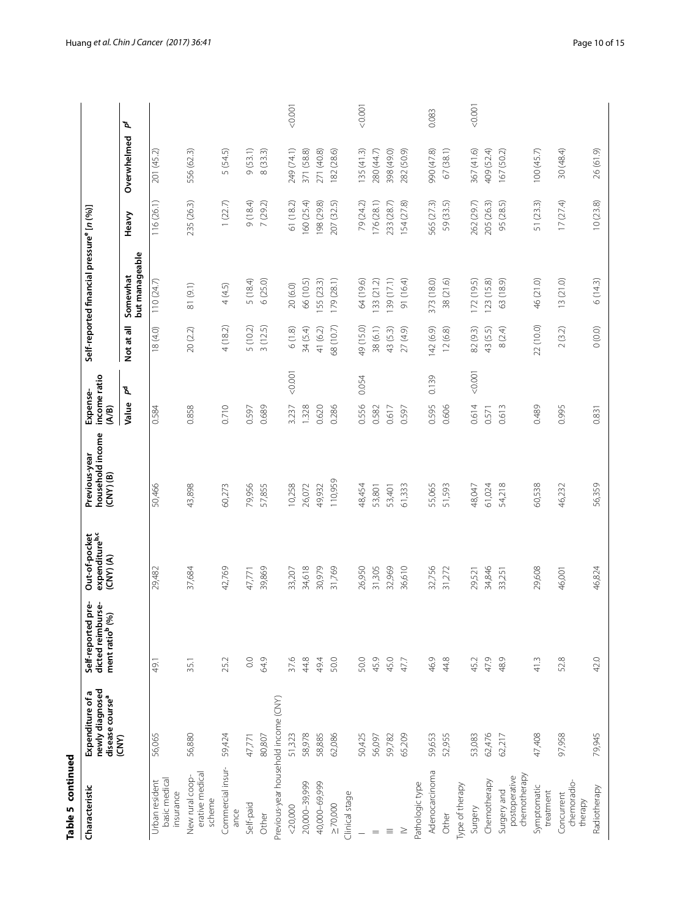| d<br>ı |
|--------|
|        |
|        |
|        |
|        |

| Table 5 continued                            |                                                                    |                                                                           |                                                          |                                                    |                                   |            |                                                       |            |             |         |
|----------------------------------------------|--------------------------------------------------------------------|---------------------------------------------------------------------------|----------------------------------------------------------|----------------------------------------------------|-----------------------------------|------------|-------------------------------------------------------|------------|-------------|---------|
| Characteristic                               | newly diagnosed<br>Expenditure of a<br>disease course <sup>a</sup> | pre-<br>dicted reimburse-<br>ment ratio <sup>b</sup> (%)<br>Self-reported | Out-of-pocket<br>expenditure <sup>b,c</sup><br>(CNY) (A) | household income<br>Previous-year<br>$(CNY)$ $(B)$ | income ratio<br>Expense-<br>(A/B) |            | Self-reported financial pressure <sup>e</sup> [n (%)] |            |             |         |
|                                              | (CNY)                                                              |                                                                           |                                                          |                                                    | ፝፟፟፟<br>Value                     | Not at all | but manageable<br>Somewhat                            | Heavy      | Overwhelmed | ď       |
| basic medical<br>Urban resident<br>insurance | 56,065                                                             | 49.1                                                                      | 29,482                                                   | 50,466                                             | 0.584                             | 18(4.0)    | 110(24.7)                                             | 116 (26.1) | 201 (45.2)  |         |
| erative medical<br>New rural coop-<br>scheme | 56,880                                                             | 35.1                                                                      | 37,684                                                   | 43,898                                             | 0.858                             | 20(2.2)    | 81 (9.1)                                              | 235 (26.3) | 556 (62.3)  |         |
| Commercial insur-<br>ance                    | 59,424                                                             | 25.2                                                                      | 42,769                                                   | 60,273                                             | 0.710                             | 4(18.2)    | 4(4.5)                                                | 1(22.7)    | 5 (54.5)    |         |
| Self-paid                                    | 47,771                                                             | $_{\odot}^{\circ}$                                                        | 47,771                                                   | 79,956                                             | 0.597                             | 5 (10.2)   | 5 (18.4)                                              | 9(18.4)    | 9(53.1)     |         |
| Other                                        | 80,807                                                             | 64.9                                                                      | 39,869                                                   | 57,855                                             | 0.689                             | 3(12.5)    | 6(25.0)                                               | 7(29.2)    | 8(33.3)     |         |
| Previous-year household income (CNY)         |                                                                    |                                                                           |                                                          |                                                    |                                   |            |                                                       |            |             |         |
| $<$ 20,000                                   | 51,323                                                             | 37.6                                                                      | 33,207                                                   | 10,258                                             | 0.001<br>3.237                    | 6(1.8)     | 20(6.0)                                               | 61 (18.2)  | 249 (74.1)  | 10000   |
| 20,000-39,999                                | 58,978                                                             | 44.8                                                                      | 34,618                                                   | 26,072                                             | 1.328                             | 34 (5.4)   | 66 (10.5)                                             | 160 (25.4) | 371 (58.8)  |         |
| 40,000-69,999                                | 58,885                                                             | 49.4                                                                      | 30,979                                                   | 49,932                                             | 0.620                             | 41 (6.2)   | 55 (23.3)                                             | 198 (29.8) | 271 (40.8)  |         |
| $\geq 70,000$                                | 62,086                                                             | 50.0                                                                      | 31,769                                                   | 110,959                                            | 0.286                             | 68 (10.7)  | 179(28.1)                                             | 207 (32.5) | 182 (28.6)  |         |
| Clinical stage                               |                                                                    |                                                                           |                                                          |                                                    |                                   |            |                                                       |            |             |         |
|                                              | 50,425                                                             | 50.0                                                                      | 26,950                                                   | 48,454                                             | 0.054<br>0.556                    | 49 (15.0)  | 64 (19.6)                                             | 79 (24.2)  | 135(41.3)   | 0.001   |
|                                              | 56,097                                                             | 45.9                                                                      | 31,305                                                   | 53,801                                             | 0.582                             | 38(6.1)    | 133(212)                                              | 176(28.1)  | 280 (44.7)  |         |
| Ξ                                            | 59,782                                                             | 45.0                                                                      | 32,969                                                   | 53,401                                             | 0.617                             | 43 (5.3)   | 139 (17.1)                                            | 233 (28.7) | 398 (49.0)  |         |
|                                              | 65,209                                                             | 47.7                                                                      | 36,610                                                   | 61,333                                             | 0.597                             | 27 (4.9)   | 91 (16.4)                                             | 154 (27.8) | 282 (50.9)  |         |
| Pathologic type                              |                                                                    |                                                                           |                                                          |                                                    |                                   |            |                                                       |            |             |         |
| Adenocarcinoma                               | 59,653                                                             | 46.9                                                                      | 32,756                                                   | 55,065                                             | 0.139<br>0.595                    | 142 (6.9)  | 373 (18.0)                                            | 565 (27.3) | 990 (47.8)  | 0.083   |
| Other                                        | 52,955                                                             | 44.8                                                                      | 31,272                                                   | 51,593                                             | 0.606                             | 12(6.8)    | 38 (21.6)                                             | 59 (33.5)  | 67 (38.1)   |         |
| Type of therapy                              |                                                                    |                                                                           |                                                          |                                                    |                                   |            |                                                       |            |             |         |
| Surgery                                      | 53,083                                                             | 45.2                                                                      | 29,521                                                   | 48,047                                             | < 0.001<br>0.614                  | 82 (9.3)   | 172 (19.5)                                            | 262 (29.7) | 367 (41.6)  | < 0.001 |
| Chemotherapy                                 | 62,476                                                             | 47.9                                                                      | 34,846                                                   | 61,024                                             | 0.571                             | 43 (5.5)   | 123(15.8)                                             | 205 (26.3) | 409 (52.4)  |         |
| chemotherapy<br>postoperative<br>Surgery and | 62,217                                                             | 48.9                                                                      | 33,251                                                   | 54,218                                             | 0.613                             | 8(2.4)     | 63 (18.9)                                             | 95 (28.5)  | 167 (50.2)  |         |
| Symptomatic<br>treatment                     | 47,408                                                             | 41.3                                                                      | 29,608                                                   | 60,538                                             | 0.489                             | 22 (10.0)  | 46 (21.0)                                             | 51 (23.3)  | 100(45.7)   |         |
| chemoradio-<br>Concurrent<br>therapy         | 97,958                                                             | 52.8                                                                      | 46,001                                                   | 46,232                                             | 0.995                             | 2(3.2)     | 13(21.0)                                              | 17(27.4)   | 30 (48.4)   |         |
| Radiotherapy                                 | 79,945                                                             | 42.0                                                                      | 46,824                                                   | 56,359                                             | 0.831                             | 0(0.0)     | 6(14.3)                                               | 10(23.8)   | 26 (61.9)   |         |
|                                              |                                                                    |                                                                           |                                                          |                                                    |                                   |            |                                                       |            |             |         |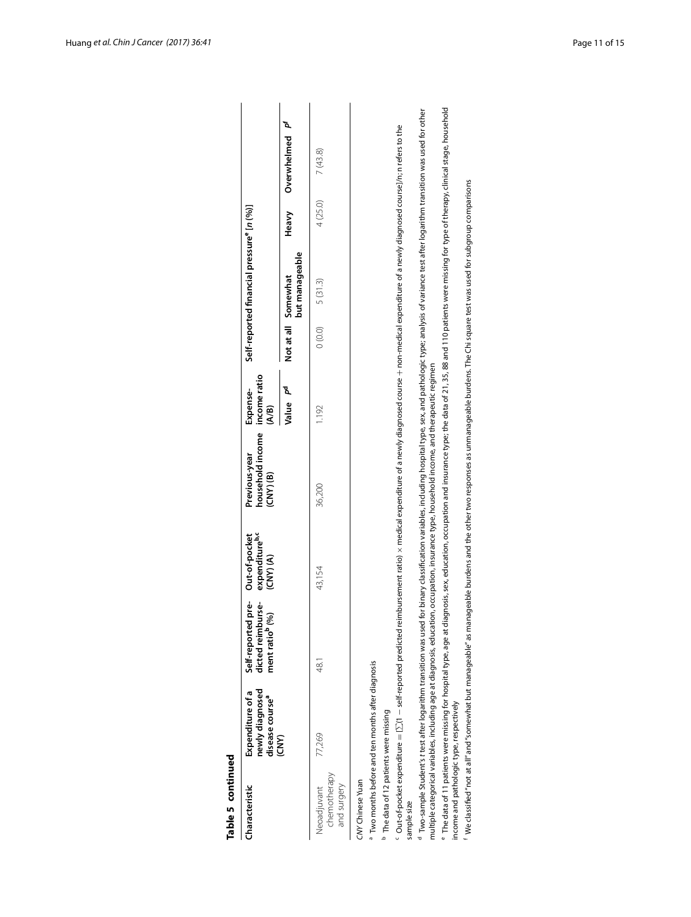| Table 5 continued                                 |                                                                                                                                                                                                                              |                                                                           |                                                          |                                                    |                                   |                                                                                                                                                                                                                                |         |                  |
|---------------------------------------------------|------------------------------------------------------------------------------------------------------------------------------------------------------------------------------------------------------------------------------|---------------------------------------------------------------------------|----------------------------------------------------------|----------------------------------------------------|-----------------------------------|--------------------------------------------------------------------------------------------------------------------------------------------------------------------------------------------------------------------------------|---------|------------------|
| Characteristic                                    | newly diagnosed<br>Expenditure of a<br>disease course <sup>a</sup>                                                                                                                                                           | pre-<br>dicted reimburse-<br>ment ratio <sup>b</sup> (%)<br>Self-reported | expenditure <sup>b,c</sup><br>Out-of-pocket<br>(CNY) (A) | household income<br>Previous-year<br>$(CNY)$ $(B)$ | income ratio<br>Expense-<br>(A/B) | Self-reported financial pressure" [n (%)]                                                                                                                                                                                      |         |                  |
|                                                   | (CNY)                                                                                                                                                                                                                        |                                                                           |                                                          |                                                    | ፟፝ዺ<br>Value                      | but manageable<br>Not at all Somewhat                                                                                                                                                                                          | Heavy   | ď<br>Overwhelmed |
| chemotherapy<br>and surgery<br>Neoadjuvant        | 77,269                                                                                                                                                                                                                       | 48.T                                                                      | 43,154                                                   | 36,200                                             | 1.192                             | 5 (31.3)<br>(0.0)                                                                                                                                                                                                              | 4(25.0) | 7(43.8)          |
| CNY Chinese Yuan                                  |                                                                                                                                                                                                                              |                                                                           |                                                          |                                                    |                                   |                                                                                                                                                                                                                                |         |                  |
|                                                   | <sup>a</sup> Two months before and ten months after diagnosis                                                                                                                                                                |                                                                           |                                                          |                                                    |                                   |                                                                                                                                                                                                                                |         |                  |
| <sup>b</sup> The data of 12 patients were missing |                                                                                                                                                                                                                              |                                                                           |                                                          |                                                    |                                   |                                                                                                                                                                                                                                |         |                  |
| sample size                                       |                                                                                                                                                                                                                              |                                                                           |                                                          |                                                    |                                   | $^{\rm c}$ Out-of-pocket expenditure = $\Sigma(1-s$ ef-reported predicted reimbursement ratio) x medical expenditure of a newly diagnosed course + non-medical expenditure of a newly diagnosed coursel/n;n refers to the      |         |                  |
|                                                   | multiple categorical variables, including age at diagnosis, education, occupation, insurance type, household income, and therapeutic regimen<br><sup>d</sup> Two-sample Student's t test after logarithm transition was used |                                                                           |                                                          |                                                    |                                   | for binary classification variables, including hospital type, sex, and pathologic type; analysis of variance test after logarithm transition was used for other                                                                |         |                  |
| income and pathologic type, respectively          |                                                                                                                                                                                                                              |                                                                           |                                                          |                                                    |                                   | ® The data of 11 patients were missing for hospital type, age at diagnosis, sex, education, occupation and insurance type; the data of 21, 35, 88 and 110 patients were missing for type of therapy, clinical stage, household |         |                  |
|                                                   |                                                                                                                                                                                                                              |                                                                           |                                                          |                                                    |                                   | f We classified "not at all" and "somewhat but manageable" as manageable burdens and the other two responses as unmanageable burdens. The Chi square test was used for subgroup comparisons                                    |         |                  |

<sup>f</sup> We classified "not at all" and "somewhat but manageable" as manageable burdens and the other two responses as unmanageable burdens. The Chi square test was used for subgroup comparisons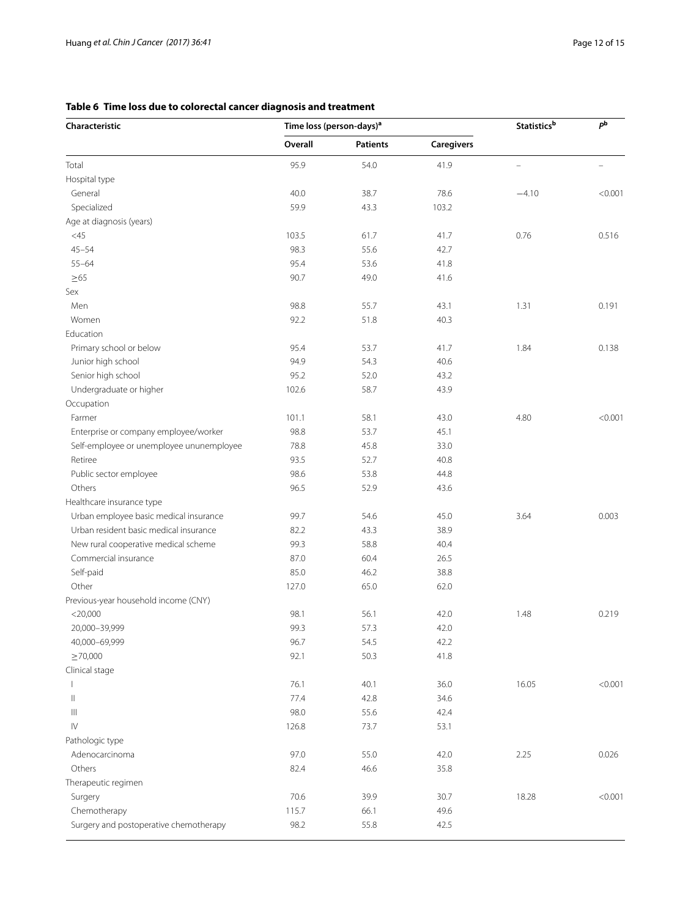# <span id="page-11-0"></span>**Table 6 Time loss due to colorectal cancer diagnosis and treatment**

| Overall<br><b>Patients</b><br><b>Caregivers</b><br>Total<br>95.9<br>54.0<br>41.9<br>$\overline{\phantom{0}}$<br>$\overline{\phantom{0}}$<br>Hospital type<br>40.0<br>General<br>38.7<br>78.6<br>$-4.10$<br>< 0.001<br>Specialized<br>59.9<br>43.3<br>103.2<br>Age at diagnosis (years)<br>0.76<br>$<$ 45<br>103.5<br>61.7<br>0.516<br>41.7<br>$45 - 54$<br>98.3<br>55.6<br>42.7<br>$55 - 64$<br>95.4<br>53.6<br>41.8<br>$\geq 65$<br>90.7<br>49.0<br>41.6<br>Sex<br>Men<br>98.8<br>55.7<br>43.1<br>1.31<br>0.191<br>Women<br>92.2<br>51.8<br>40.3<br>Education<br>Primary school or below<br>95.4<br>53.7<br>41.7<br>1.84<br>0.138<br>Junior high school<br>94.9<br>54.3<br>40.6<br>95.2<br>52.0<br>Senior high school<br>43.2<br>Undergraduate or higher<br>102.6<br>58.7<br>43.9<br>Occupation<br>Farmer<br>101.1<br>58.1<br>43.0<br>4.80<br>< 0.001<br>98.8<br>Enterprise or company employee/worker<br>53.7<br>45.1<br>Self-employee or unemployee ununemployee<br>78.8<br>45.8<br>33.0<br>93.5<br>Retiree<br>52.7<br>40.8<br>Public sector employee<br>98.6<br>53.8<br>44.8<br>Others<br>96.5<br>52.9<br>43.6<br>Healthcare insurance type<br>Urban employee basic medical insurance<br>99.7<br>45.0<br>3.64<br>0.003<br>54.6<br>Urban resident basic medical insurance<br>82.2<br>43.3<br>38.9<br>New rural cooperative medical scheme<br>99.3<br>58.8<br>40.4<br>Commercial insurance<br>87.0<br>60.4<br>26.5<br>Self-paid<br>85.0<br>46.2<br>38.8<br>Other<br>127.0<br>65.0<br>62.0<br>Previous-year household income (CNY)<br>0.219<br>$<$ 20,000<br>98.1<br>56.1<br>42.0<br>1.48<br>20,000-39,999<br>99.3<br>57.3<br>42.0<br>40,000-69,999<br>54.5<br>96.7<br>42.2<br>$\geq 70,000$<br>92.1<br>50.3<br>41.8<br>Clinical stage<br>76.1<br>16.05<br>40.1<br>36.0<br>77.4<br>$\mathsf{I}$<br>42.8<br>34.6<br>98.0<br>42.4<br>Ш<br>55.6<br>$\mathsf{IV}$<br>73.7<br>126.8<br>53.1<br>Pathologic type<br>97.0<br>55.0<br>2.25<br>Adenocarcinoma<br>42.0<br>0.026<br>Others<br>82.4<br>46.6<br>35.8<br>Therapeutic regimen<br>18.28<br>70.6<br>39.9<br>30.7<br>Surgery<br>Chemotherapy<br>49.6<br>115.7<br>66.1<br>Surgery and postoperative chemotherapy<br>98.2<br>55.8<br>42.5 | Characteristic | Time loss (person-days) <sup>a</sup> |  | <b>Statistics</b> b | pb      |
|---------------------------------------------------------------------------------------------------------------------------------------------------------------------------------------------------------------------------------------------------------------------------------------------------------------------------------------------------------------------------------------------------------------------------------------------------------------------------------------------------------------------------------------------------------------------------------------------------------------------------------------------------------------------------------------------------------------------------------------------------------------------------------------------------------------------------------------------------------------------------------------------------------------------------------------------------------------------------------------------------------------------------------------------------------------------------------------------------------------------------------------------------------------------------------------------------------------------------------------------------------------------------------------------------------------------------------------------------------------------------------------------------------------------------------------------------------------------------------------------------------------------------------------------------------------------------------------------------------------------------------------------------------------------------------------------------------------------------------------------------------------------------------------------------------------------------------------------------------------------------------------------------------------------------------------------------------------------------------------------------------------------------------------------------------------------------------------------------------------------------------------------------------------------------------------|----------------|--------------------------------------|--|---------------------|---------|
|                                                                                                                                                                                                                                                                                                                                                                                                                                                                                                                                                                                                                                                                                                                                                                                                                                                                                                                                                                                                                                                                                                                                                                                                                                                                                                                                                                                                                                                                                                                                                                                                                                                                                                                                                                                                                                                                                                                                                                                                                                                                                                                                                                                       |                |                                      |  |                     |         |
|                                                                                                                                                                                                                                                                                                                                                                                                                                                                                                                                                                                                                                                                                                                                                                                                                                                                                                                                                                                                                                                                                                                                                                                                                                                                                                                                                                                                                                                                                                                                                                                                                                                                                                                                                                                                                                                                                                                                                                                                                                                                                                                                                                                       |                |                                      |  |                     |         |
|                                                                                                                                                                                                                                                                                                                                                                                                                                                                                                                                                                                                                                                                                                                                                                                                                                                                                                                                                                                                                                                                                                                                                                                                                                                                                                                                                                                                                                                                                                                                                                                                                                                                                                                                                                                                                                                                                                                                                                                                                                                                                                                                                                                       |                |                                      |  |                     |         |
|                                                                                                                                                                                                                                                                                                                                                                                                                                                                                                                                                                                                                                                                                                                                                                                                                                                                                                                                                                                                                                                                                                                                                                                                                                                                                                                                                                                                                                                                                                                                                                                                                                                                                                                                                                                                                                                                                                                                                                                                                                                                                                                                                                                       |                |                                      |  |                     |         |
|                                                                                                                                                                                                                                                                                                                                                                                                                                                                                                                                                                                                                                                                                                                                                                                                                                                                                                                                                                                                                                                                                                                                                                                                                                                                                                                                                                                                                                                                                                                                                                                                                                                                                                                                                                                                                                                                                                                                                                                                                                                                                                                                                                                       |                |                                      |  |                     |         |
|                                                                                                                                                                                                                                                                                                                                                                                                                                                                                                                                                                                                                                                                                                                                                                                                                                                                                                                                                                                                                                                                                                                                                                                                                                                                                                                                                                                                                                                                                                                                                                                                                                                                                                                                                                                                                                                                                                                                                                                                                                                                                                                                                                                       |                |                                      |  |                     |         |
|                                                                                                                                                                                                                                                                                                                                                                                                                                                                                                                                                                                                                                                                                                                                                                                                                                                                                                                                                                                                                                                                                                                                                                                                                                                                                                                                                                                                                                                                                                                                                                                                                                                                                                                                                                                                                                                                                                                                                                                                                                                                                                                                                                                       |                |                                      |  |                     |         |
|                                                                                                                                                                                                                                                                                                                                                                                                                                                                                                                                                                                                                                                                                                                                                                                                                                                                                                                                                                                                                                                                                                                                                                                                                                                                                                                                                                                                                                                                                                                                                                                                                                                                                                                                                                                                                                                                                                                                                                                                                                                                                                                                                                                       |                |                                      |  |                     |         |
|                                                                                                                                                                                                                                                                                                                                                                                                                                                                                                                                                                                                                                                                                                                                                                                                                                                                                                                                                                                                                                                                                                                                                                                                                                                                                                                                                                                                                                                                                                                                                                                                                                                                                                                                                                                                                                                                                                                                                                                                                                                                                                                                                                                       |                |                                      |  |                     |         |
|                                                                                                                                                                                                                                                                                                                                                                                                                                                                                                                                                                                                                                                                                                                                                                                                                                                                                                                                                                                                                                                                                                                                                                                                                                                                                                                                                                                                                                                                                                                                                                                                                                                                                                                                                                                                                                                                                                                                                                                                                                                                                                                                                                                       |                |                                      |  |                     |         |
|                                                                                                                                                                                                                                                                                                                                                                                                                                                                                                                                                                                                                                                                                                                                                                                                                                                                                                                                                                                                                                                                                                                                                                                                                                                                                                                                                                                                                                                                                                                                                                                                                                                                                                                                                                                                                                                                                                                                                                                                                                                                                                                                                                                       |                |                                      |  |                     |         |
|                                                                                                                                                                                                                                                                                                                                                                                                                                                                                                                                                                                                                                                                                                                                                                                                                                                                                                                                                                                                                                                                                                                                                                                                                                                                                                                                                                                                                                                                                                                                                                                                                                                                                                                                                                                                                                                                                                                                                                                                                                                                                                                                                                                       |                |                                      |  |                     |         |
|                                                                                                                                                                                                                                                                                                                                                                                                                                                                                                                                                                                                                                                                                                                                                                                                                                                                                                                                                                                                                                                                                                                                                                                                                                                                                                                                                                                                                                                                                                                                                                                                                                                                                                                                                                                                                                                                                                                                                                                                                                                                                                                                                                                       |                |                                      |  |                     |         |
|                                                                                                                                                                                                                                                                                                                                                                                                                                                                                                                                                                                                                                                                                                                                                                                                                                                                                                                                                                                                                                                                                                                                                                                                                                                                                                                                                                                                                                                                                                                                                                                                                                                                                                                                                                                                                                                                                                                                                                                                                                                                                                                                                                                       |                |                                      |  |                     |         |
|                                                                                                                                                                                                                                                                                                                                                                                                                                                                                                                                                                                                                                                                                                                                                                                                                                                                                                                                                                                                                                                                                                                                                                                                                                                                                                                                                                                                                                                                                                                                                                                                                                                                                                                                                                                                                                                                                                                                                                                                                                                                                                                                                                                       |                |                                      |  |                     |         |
|                                                                                                                                                                                                                                                                                                                                                                                                                                                                                                                                                                                                                                                                                                                                                                                                                                                                                                                                                                                                                                                                                                                                                                                                                                                                                                                                                                                                                                                                                                                                                                                                                                                                                                                                                                                                                                                                                                                                                                                                                                                                                                                                                                                       |                |                                      |  |                     |         |
|                                                                                                                                                                                                                                                                                                                                                                                                                                                                                                                                                                                                                                                                                                                                                                                                                                                                                                                                                                                                                                                                                                                                                                                                                                                                                                                                                                                                                                                                                                                                                                                                                                                                                                                                                                                                                                                                                                                                                                                                                                                                                                                                                                                       |                |                                      |  |                     |         |
|                                                                                                                                                                                                                                                                                                                                                                                                                                                                                                                                                                                                                                                                                                                                                                                                                                                                                                                                                                                                                                                                                                                                                                                                                                                                                                                                                                                                                                                                                                                                                                                                                                                                                                                                                                                                                                                                                                                                                                                                                                                                                                                                                                                       |                |                                      |  |                     |         |
|                                                                                                                                                                                                                                                                                                                                                                                                                                                                                                                                                                                                                                                                                                                                                                                                                                                                                                                                                                                                                                                                                                                                                                                                                                                                                                                                                                                                                                                                                                                                                                                                                                                                                                                                                                                                                                                                                                                                                                                                                                                                                                                                                                                       |                |                                      |  |                     |         |
|                                                                                                                                                                                                                                                                                                                                                                                                                                                                                                                                                                                                                                                                                                                                                                                                                                                                                                                                                                                                                                                                                                                                                                                                                                                                                                                                                                                                                                                                                                                                                                                                                                                                                                                                                                                                                                                                                                                                                                                                                                                                                                                                                                                       |                |                                      |  |                     |         |
|                                                                                                                                                                                                                                                                                                                                                                                                                                                                                                                                                                                                                                                                                                                                                                                                                                                                                                                                                                                                                                                                                                                                                                                                                                                                                                                                                                                                                                                                                                                                                                                                                                                                                                                                                                                                                                                                                                                                                                                                                                                                                                                                                                                       |                |                                      |  |                     |         |
|                                                                                                                                                                                                                                                                                                                                                                                                                                                                                                                                                                                                                                                                                                                                                                                                                                                                                                                                                                                                                                                                                                                                                                                                                                                                                                                                                                                                                                                                                                                                                                                                                                                                                                                                                                                                                                                                                                                                                                                                                                                                                                                                                                                       |                |                                      |  |                     |         |
|                                                                                                                                                                                                                                                                                                                                                                                                                                                                                                                                                                                                                                                                                                                                                                                                                                                                                                                                                                                                                                                                                                                                                                                                                                                                                                                                                                                                                                                                                                                                                                                                                                                                                                                                                                                                                                                                                                                                                                                                                                                                                                                                                                                       |                |                                      |  |                     |         |
|                                                                                                                                                                                                                                                                                                                                                                                                                                                                                                                                                                                                                                                                                                                                                                                                                                                                                                                                                                                                                                                                                                                                                                                                                                                                                                                                                                                                                                                                                                                                                                                                                                                                                                                                                                                                                                                                                                                                                                                                                                                                                                                                                                                       |                |                                      |  |                     |         |
|                                                                                                                                                                                                                                                                                                                                                                                                                                                                                                                                                                                                                                                                                                                                                                                                                                                                                                                                                                                                                                                                                                                                                                                                                                                                                                                                                                                                                                                                                                                                                                                                                                                                                                                                                                                                                                                                                                                                                                                                                                                                                                                                                                                       |                |                                      |  |                     |         |
|                                                                                                                                                                                                                                                                                                                                                                                                                                                                                                                                                                                                                                                                                                                                                                                                                                                                                                                                                                                                                                                                                                                                                                                                                                                                                                                                                                                                                                                                                                                                                                                                                                                                                                                                                                                                                                                                                                                                                                                                                                                                                                                                                                                       |                |                                      |  |                     |         |
|                                                                                                                                                                                                                                                                                                                                                                                                                                                                                                                                                                                                                                                                                                                                                                                                                                                                                                                                                                                                                                                                                                                                                                                                                                                                                                                                                                                                                                                                                                                                                                                                                                                                                                                                                                                                                                                                                                                                                                                                                                                                                                                                                                                       |                |                                      |  |                     |         |
|                                                                                                                                                                                                                                                                                                                                                                                                                                                                                                                                                                                                                                                                                                                                                                                                                                                                                                                                                                                                                                                                                                                                                                                                                                                                                                                                                                                                                                                                                                                                                                                                                                                                                                                                                                                                                                                                                                                                                                                                                                                                                                                                                                                       |                |                                      |  |                     |         |
|                                                                                                                                                                                                                                                                                                                                                                                                                                                                                                                                                                                                                                                                                                                                                                                                                                                                                                                                                                                                                                                                                                                                                                                                                                                                                                                                                                                                                                                                                                                                                                                                                                                                                                                                                                                                                                                                                                                                                                                                                                                                                                                                                                                       |                |                                      |  |                     |         |
|                                                                                                                                                                                                                                                                                                                                                                                                                                                                                                                                                                                                                                                                                                                                                                                                                                                                                                                                                                                                                                                                                                                                                                                                                                                                                                                                                                                                                                                                                                                                                                                                                                                                                                                                                                                                                                                                                                                                                                                                                                                                                                                                                                                       |                |                                      |  |                     |         |
|                                                                                                                                                                                                                                                                                                                                                                                                                                                                                                                                                                                                                                                                                                                                                                                                                                                                                                                                                                                                                                                                                                                                                                                                                                                                                                                                                                                                                                                                                                                                                                                                                                                                                                                                                                                                                                                                                                                                                                                                                                                                                                                                                                                       |                |                                      |  |                     |         |
|                                                                                                                                                                                                                                                                                                                                                                                                                                                                                                                                                                                                                                                                                                                                                                                                                                                                                                                                                                                                                                                                                                                                                                                                                                                                                                                                                                                                                                                                                                                                                                                                                                                                                                                                                                                                                                                                                                                                                                                                                                                                                                                                                                                       |                |                                      |  |                     |         |
|                                                                                                                                                                                                                                                                                                                                                                                                                                                                                                                                                                                                                                                                                                                                                                                                                                                                                                                                                                                                                                                                                                                                                                                                                                                                                                                                                                                                                                                                                                                                                                                                                                                                                                                                                                                                                                                                                                                                                                                                                                                                                                                                                                                       |                |                                      |  |                     |         |
|                                                                                                                                                                                                                                                                                                                                                                                                                                                                                                                                                                                                                                                                                                                                                                                                                                                                                                                                                                                                                                                                                                                                                                                                                                                                                                                                                                                                                                                                                                                                                                                                                                                                                                                                                                                                                                                                                                                                                                                                                                                                                                                                                                                       |                |                                      |  |                     |         |
|                                                                                                                                                                                                                                                                                                                                                                                                                                                                                                                                                                                                                                                                                                                                                                                                                                                                                                                                                                                                                                                                                                                                                                                                                                                                                                                                                                                                                                                                                                                                                                                                                                                                                                                                                                                                                                                                                                                                                                                                                                                                                                                                                                                       |                |                                      |  |                     |         |
|                                                                                                                                                                                                                                                                                                                                                                                                                                                                                                                                                                                                                                                                                                                                                                                                                                                                                                                                                                                                                                                                                                                                                                                                                                                                                                                                                                                                                                                                                                                                                                                                                                                                                                                                                                                                                                                                                                                                                                                                                                                                                                                                                                                       |                |                                      |  |                     |         |
|                                                                                                                                                                                                                                                                                                                                                                                                                                                                                                                                                                                                                                                                                                                                                                                                                                                                                                                                                                                                                                                                                                                                                                                                                                                                                                                                                                                                                                                                                                                                                                                                                                                                                                                                                                                                                                                                                                                                                                                                                                                                                                                                                                                       |                |                                      |  |                     |         |
|                                                                                                                                                                                                                                                                                                                                                                                                                                                                                                                                                                                                                                                                                                                                                                                                                                                                                                                                                                                                                                                                                                                                                                                                                                                                                                                                                                                                                                                                                                                                                                                                                                                                                                                                                                                                                                                                                                                                                                                                                                                                                                                                                                                       |                |                                      |  |                     |         |
|                                                                                                                                                                                                                                                                                                                                                                                                                                                                                                                                                                                                                                                                                                                                                                                                                                                                                                                                                                                                                                                                                                                                                                                                                                                                                                                                                                                                                                                                                                                                                                                                                                                                                                                                                                                                                                                                                                                                                                                                                                                                                                                                                                                       |                |                                      |  |                     | < 0.001 |
|                                                                                                                                                                                                                                                                                                                                                                                                                                                                                                                                                                                                                                                                                                                                                                                                                                                                                                                                                                                                                                                                                                                                                                                                                                                                                                                                                                                                                                                                                                                                                                                                                                                                                                                                                                                                                                                                                                                                                                                                                                                                                                                                                                                       |                |                                      |  |                     |         |
|                                                                                                                                                                                                                                                                                                                                                                                                                                                                                                                                                                                                                                                                                                                                                                                                                                                                                                                                                                                                                                                                                                                                                                                                                                                                                                                                                                                                                                                                                                                                                                                                                                                                                                                                                                                                                                                                                                                                                                                                                                                                                                                                                                                       |                |                                      |  |                     |         |
|                                                                                                                                                                                                                                                                                                                                                                                                                                                                                                                                                                                                                                                                                                                                                                                                                                                                                                                                                                                                                                                                                                                                                                                                                                                                                                                                                                                                                                                                                                                                                                                                                                                                                                                                                                                                                                                                                                                                                                                                                                                                                                                                                                                       |                |                                      |  |                     |         |
|                                                                                                                                                                                                                                                                                                                                                                                                                                                                                                                                                                                                                                                                                                                                                                                                                                                                                                                                                                                                                                                                                                                                                                                                                                                                                                                                                                                                                                                                                                                                                                                                                                                                                                                                                                                                                                                                                                                                                                                                                                                                                                                                                                                       |                |                                      |  |                     |         |
|                                                                                                                                                                                                                                                                                                                                                                                                                                                                                                                                                                                                                                                                                                                                                                                                                                                                                                                                                                                                                                                                                                                                                                                                                                                                                                                                                                                                                                                                                                                                                                                                                                                                                                                                                                                                                                                                                                                                                                                                                                                                                                                                                                                       |                |                                      |  |                     |         |
|                                                                                                                                                                                                                                                                                                                                                                                                                                                                                                                                                                                                                                                                                                                                                                                                                                                                                                                                                                                                                                                                                                                                                                                                                                                                                                                                                                                                                                                                                                                                                                                                                                                                                                                                                                                                                                                                                                                                                                                                                                                                                                                                                                                       |                |                                      |  |                     |         |
|                                                                                                                                                                                                                                                                                                                                                                                                                                                                                                                                                                                                                                                                                                                                                                                                                                                                                                                                                                                                                                                                                                                                                                                                                                                                                                                                                                                                                                                                                                                                                                                                                                                                                                                                                                                                                                                                                                                                                                                                                                                                                                                                                                                       |                |                                      |  |                     |         |
|                                                                                                                                                                                                                                                                                                                                                                                                                                                                                                                                                                                                                                                                                                                                                                                                                                                                                                                                                                                                                                                                                                                                                                                                                                                                                                                                                                                                                                                                                                                                                                                                                                                                                                                                                                                                                                                                                                                                                                                                                                                                                                                                                                                       |                |                                      |  |                     | < 0.001 |
|                                                                                                                                                                                                                                                                                                                                                                                                                                                                                                                                                                                                                                                                                                                                                                                                                                                                                                                                                                                                                                                                                                                                                                                                                                                                                                                                                                                                                                                                                                                                                                                                                                                                                                                                                                                                                                                                                                                                                                                                                                                                                                                                                                                       |                |                                      |  |                     |         |
|                                                                                                                                                                                                                                                                                                                                                                                                                                                                                                                                                                                                                                                                                                                                                                                                                                                                                                                                                                                                                                                                                                                                                                                                                                                                                                                                                                                                                                                                                                                                                                                                                                                                                                                                                                                                                                                                                                                                                                                                                                                                                                                                                                                       |                |                                      |  |                     |         |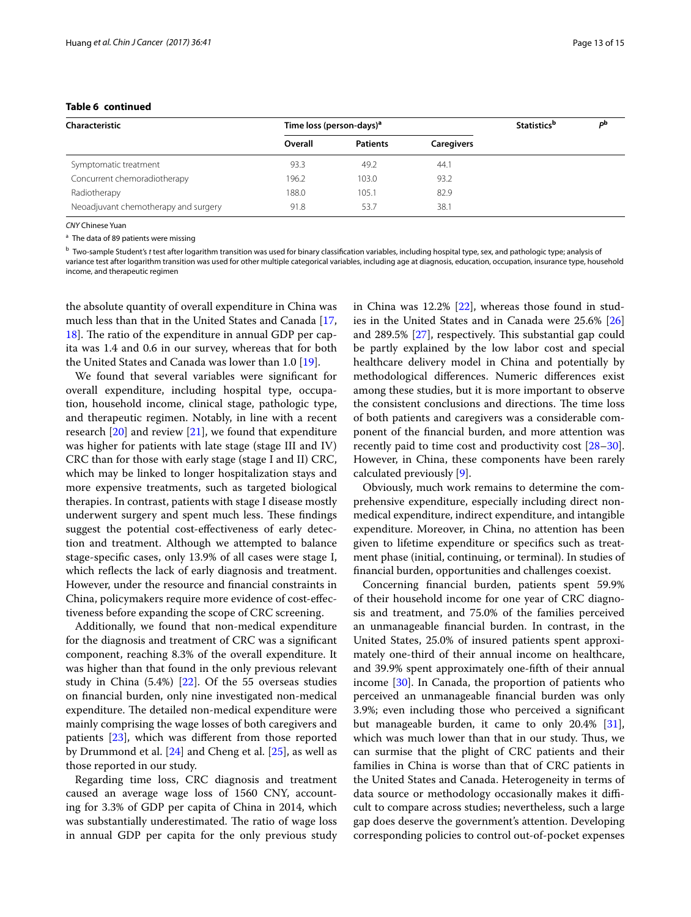# **Table 6 continued**

| Characteristic                       | Time loss (person-days) <sup>a</sup> |                 |                   | <b>Statistics</b> <sup>b</sup> | ъb |
|--------------------------------------|--------------------------------------|-----------------|-------------------|--------------------------------|----|
|                                      | Overall                              | <b>Patients</b> | <b>Caregivers</b> |                                |    |
| Symptomatic treatment                | 93.3                                 | 49.2            | 44.1              |                                |    |
| Concurrent chemoradiotherapy         | 196.2                                | 103.0           | 93.2              |                                |    |
| Radiotherapy                         | 188.0                                | 105.1           | 82.9              |                                |    |
| Neoadjuvant chemotherapy and surgery | 91.8                                 | 53.7            | 38.1              |                                |    |

*CNY* Chinese Yuan

<sup>a</sup> The data of 89 patients were missing

<sup>b</sup> Two-sample Student's *t* test after logarithm transition was used for binary classifcation variables, including hospital type, sex, and pathologic type; analysis of variance test after logarithm transition was used for other multiple categorical variables, including age at diagnosis, education, occupation, insurance type, household income, and therapeutic regimen

the absolute quantity of overall expenditure in China was much less than that in the United States and Canada [\[17](#page-14-15),  $18$ ]. The ratio of the expenditure in annual GDP per capita was 1.4 and 0.6 in our survey, whereas that for both the United States and Canada was lower than 1.0 [\[19\]](#page-14-17).

We found that several variables were signifcant for overall expenditure, including hospital type, occupation, household income, clinical stage, pathologic type, and therapeutic regimen. Notably, in line with a recent research [\[20\]](#page-14-18) and review [[21\]](#page-14-19), we found that expenditure was higher for patients with late stage (stage III and IV) CRC than for those with early stage (stage I and II) CRC, which may be linked to longer hospitalization stays and more expensive treatments, such as targeted biological therapies. In contrast, patients with stage I disease mostly underwent surgery and spent much less. These findings suggest the potential cost-efectiveness of early detection and treatment. Although we attempted to balance stage-specifc cases, only 13.9% of all cases were stage I, which reflects the lack of early diagnosis and treatment. However, under the resource and fnancial constraints in China, policymakers require more evidence of cost-efectiveness before expanding the scope of CRC screening.

Additionally, we found that non-medical expenditure for the diagnosis and treatment of CRC was a signifcant component, reaching 8.3% of the overall expenditure. It was higher than that found in the only previous relevant study in China (5.4%) [\[22](#page-14-20)]. Of the 55 overseas studies on fnancial burden, only nine investigated non-medical expenditure. The detailed non-medical expenditure were mainly comprising the wage losses of both caregivers and patients [[23\]](#page-14-21), which was diferent from those reported by Drummond et al. [[24\]](#page-14-22) and Cheng et al. [\[25](#page-14-23)], as well as those reported in our study.

Regarding time loss, CRC diagnosis and treatment caused an average wage loss of 1560 CNY, accounting for 3.3% of GDP per capita of China in 2014, which was substantially underestimated. The ratio of wage loss in annual GDP per capita for the only previous study in China was 12.2% [\[22](#page-14-20)], whereas those found in studies in the United States and in Canada were 25.6% [[26](#page-14-24)] and  $289.5\%$  [ $27$ ], respectively. This substantial gap could be partly explained by the low labor cost and special healthcare delivery model in China and potentially by methodological diferences. Numeric diferences exist among these studies, but it is more important to observe the consistent conclusions and directions. The time loss of both patients and caregivers was a considerable component of the fnancial burden, and more attention was recently paid to time cost and productivity cost [[28](#page-14-26)[–30](#page-14-27)]. However, in China, these components have been rarely calculated previously [\[9](#page-14-7)].

Obviously, much work remains to determine the comprehensive expenditure, especially including direct nonmedical expenditure, indirect expenditure, and intangible expenditure. Moreover, in China, no attention has been given to lifetime expenditure or specifcs such as treatment phase (initial, continuing, or terminal). In studies of fnancial burden, opportunities and challenges coexist.

Concerning fnancial burden, patients spent 59.9% of their household income for one year of CRC diagnosis and treatment, and 75.0% of the families perceived an unmanageable fnancial burden. In contrast, in the United States, 25.0% of insured patients spent approximately one-third of their annual income on healthcare, and 39.9% spent approximately one-ffth of their annual income [[30](#page-14-27)]. In Canada, the proportion of patients who perceived an unmanageable fnancial burden was only 3.9%; even including those who perceived a signifcant but manageable burden, it came to only 20.4% [\[31](#page-14-28)], which was much lower than that in our study. Thus, we can surmise that the plight of CRC patients and their families in China is worse than that of CRC patients in the United States and Canada. Heterogeneity in terms of data source or methodology occasionally makes it difficult to compare across studies; nevertheless, such a large gap does deserve the government's attention. Developing corresponding policies to control out-of-pocket expenses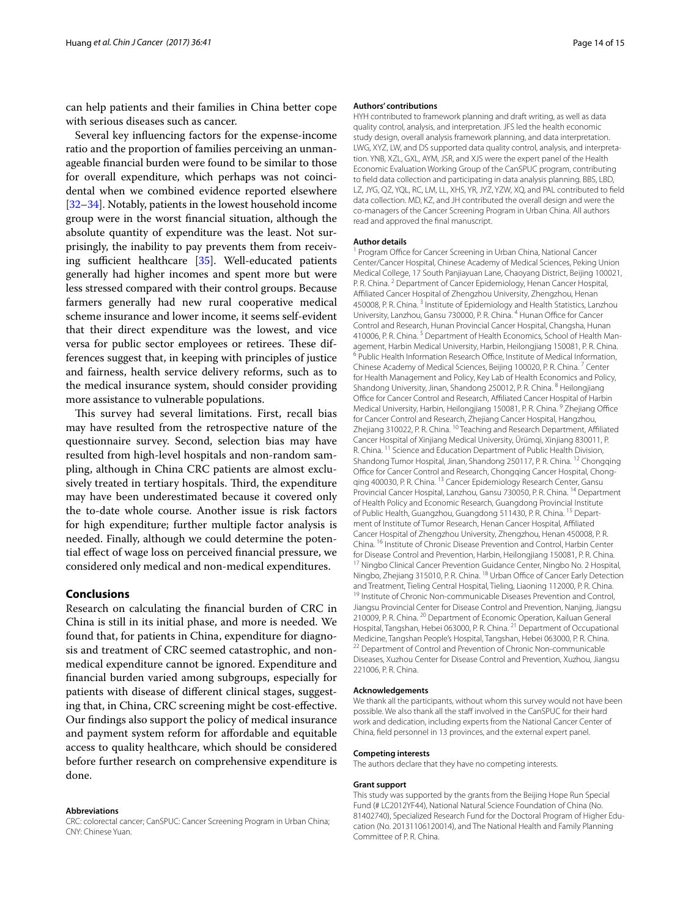can help patients and their families in China better cope with serious diseases such as cancer.

Several key infuencing factors for the expense-income ratio and the proportion of families perceiving an unmanageable fnancial burden were found to be similar to those for overall expenditure, which perhaps was not coincidental when we combined evidence reported elsewhere [[32](#page-14-29)[–34](#page-14-30)]. Notably, patients in the lowest household income group were in the worst fnancial situation, although the absolute quantity of expenditure was the least. Not surprisingly, the inability to pay prevents them from receiving sufficient healthcare  $[35]$  $[35]$ . Well-educated patients generally had higher incomes and spent more but were less stressed compared with their control groups. Because farmers generally had new rural cooperative medical scheme insurance and lower income, it seems self-evident that their direct expenditure was the lowest, and vice versa for public sector employees or retirees. These differences suggest that, in keeping with principles of justice and fairness, health service delivery reforms, such as to the medical insurance system, should consider providing more assistance to vulnerable populations.

This survey had several limitations. First, recall bias may have resulted from the retrospective nature of the questionnaire survey. Second, selection bias may have resulted from high-level hospitals and non-random sampling, although in China CRC patients are almost exclusively treated in tertiary hospitals. Third, the expenditure may have been underestimated because it covered only the to-date whole course. Another issue is risk factors for high expenditure; further multiple factor analysis is needed. Finally, although we could determine the potential efect of wage loss on perceived fnancial pressure, we considered only medical and non-medical expenditures.

# **Conclusions**

Research on calculating the fnancial burden of CRC in China is still in its initial phase, and more is needed. We found that, for patients in China, expenditure for diagnosis and treatment of CRC seemed catastrophic, and nonmedical expenditure cannot be ignored. Expenditure and fnancial burden varied among subgroups, especially for patients with disease of diferent clinical stages, suggesting that, in China, CRC screening might be cost-efective. Our fndings also support the policy of medical insurance and payment system reform for afordable and equitable access to quality healthcare, which should be considered before further research on comprehensive expenditure is done.

#### **Abbreviations**

CRC: colorectal cancer; CanSPUC: Cancer Screening Program in Urban China; CNY: Chinese Yuan.

#### **Authors' contributions**

HYH contributed to framework planning and draft writing, as well as data quality control, analysis, and interpretation. JFS led the health economic study design, overall analysis framework planning, and data interpretation. LWG, XYZ, LW, and DS supported data quality control, analysis, and interpretation. YNB, XZL, GXL, AYM, JSR, and XJS were the expert panel of the Health Economic Evaluation Working Group of the CanSPUC program, contributing to feld data collection and participating in data analysis planning. BBS, LBD, LZ, JYG, QZ, YQL, RC, LM, LL, XHS, YR, JYZ, YZW, XQ, and PAL contributed to feld data collection. MD, KZ, and JH contributed the overall design and were the co-managers of the Cancer Screening Program in Urban China. All authors read and approved the fnal manuscript.

#### **Author details**

<sup>1</sup> Program Office for Cancer Screening in Urban China, National Cancer Center/Cancer Hospital, Chinese Academy of Medical Sciences, Peking Union Medical College, 17 South Panjiayuan Lane, Chaoyang District, Beijing 100021, P. R. China. <sup>2</sup> Department of Cancer Epidemiology, Henan Cancer Hospital, Afliated Cancer Hospital of Zhengzhou University, Zhengzhou, Henan 450008, P. R. China.<sup>3</sup> Institute of Epidemiology and Health Statistics, Lanzhou University, Lanzhou, Gansu 730000, P. R. China. <sup>4</sup> Hunan Office for Cancer Control and Research, Hunan Provincial Cancer Hospital, Changsha, Hunan 410006, P. R. China. <sup>5</sup> Department of Health Economics, School of Health Management, Harbin Medical University, Harbin, Heilongjiang 150081, P. R. China. <sup>6</sup> Public Health Information Research Office, Institute of Medical Information, Chinese Academy of Medical Sciences, Beijing 100020, P. R. China. <sup>7</sup> Center for Health Management and Policy, Key Lab of Health Economics and Policy, Shandong University, Jinan, Shandong 250012, P. R. China. <sup>8</sup> Heilongjiang Office for Cancer Control and Research, Affiliated Cancer Hospital of Harbin Medical University, Harbin, Heilongjiang 150081, P. R. China. <sup>9</sup> Zhejiang Office for Cancer Control and Research, Zhejiang Cancer Hospital, Hangzhou, Zhejiang 310022, P. R. China. <sup>10</sup> Teaching and Research Department, Affiliated Cancer Hospital of Xinjiang Medical University, Ürümqi, Xinjiang 830011, P. R. China. 11 Science and Education Department of Public Health Division, Shandong Tumor Hospital, Jinan, Shandong 250117, P. R. China. <sup>12</sup> Chongqing Office for Cancer Control and Research, Chongqing Cancer Hospital, Chongqing 400030, P. R. China. <sup>13</sup> Cancer Epidemiology Research Center, Gansu Provincial Cancer Hospital, Lanzhou, Gansu 730050, P. R. China. 14 Department of Health Policy and Economic Research, Guangdong Provincial Institute of Public Health, Guangzhou, Guangdong 511430, P. R. China. <sup>15</sup> Department of Institute of Tumor Research, Henan Cancer Hospital, Afliated Cancer Hospital of Zhengzhou University, Zhengzhou, Henan 450008, P. R. China. <sup>16</sup> Institute of Chronic Disease Prevention and Control, Harbin Center for Disease Control and Prevention, Harbin, Heilongjiang 150081, P. R. China. 17 Ningbo Clinical Cancer Prevention Guidance Center, Ningbo No. 2 Hospital, Ningbo, Zhejiang 315010, P. R. China. <sup>18</sup> Urban Office of Cancer Early Detection<br>and Treatment, Tieling Central Hospital, Tieling, Liaoning 112000, P. R. China. <sup>19</sup> Institute of Chronic Non-communicable Diseases Prevention and Control, Jiangsu Provincial Center for Disease Control and Prevention, Nanjing, Jiangsu 210009, P. R. China. 20 Department of Economic Operation, Kailuan General Hospital, Tangshan, Hebei 063000, P. R. China. 21 Department of Occupational Medicine, Tangshan People's Hospital, Tangshan, Hebei 063000, P. R. China. <sup>22</sup> Department of Control and Prevention of Chronic Non-communicable Diseases, Xuzhou Center for Disease Control and Prevention, Xuzhou, Jiangsu 221006, P. R. China.

#### **Acknowledgements**

We thank all the participants, without whom this survey would not have been possible. We also thank all the staff involved in the CanSPUC for their hard work and dedication, including experts from the National Cancer Center of China, feld personnel in 13 provinces, and the external expert panel.

#### **Competing interests**

The authors declare that they have no competing interests.

#### **Grant support**

This study was supported by the grants from the Beijing Hope Run Special Fund (# LC2012YF44), National Natural Science Foundation of China (No. 81402740), Specialized Research Fund for the Doctoral Program of Higher Education (No. 20131106120014), and The National Health and Family Planning Committee of P. R. China.